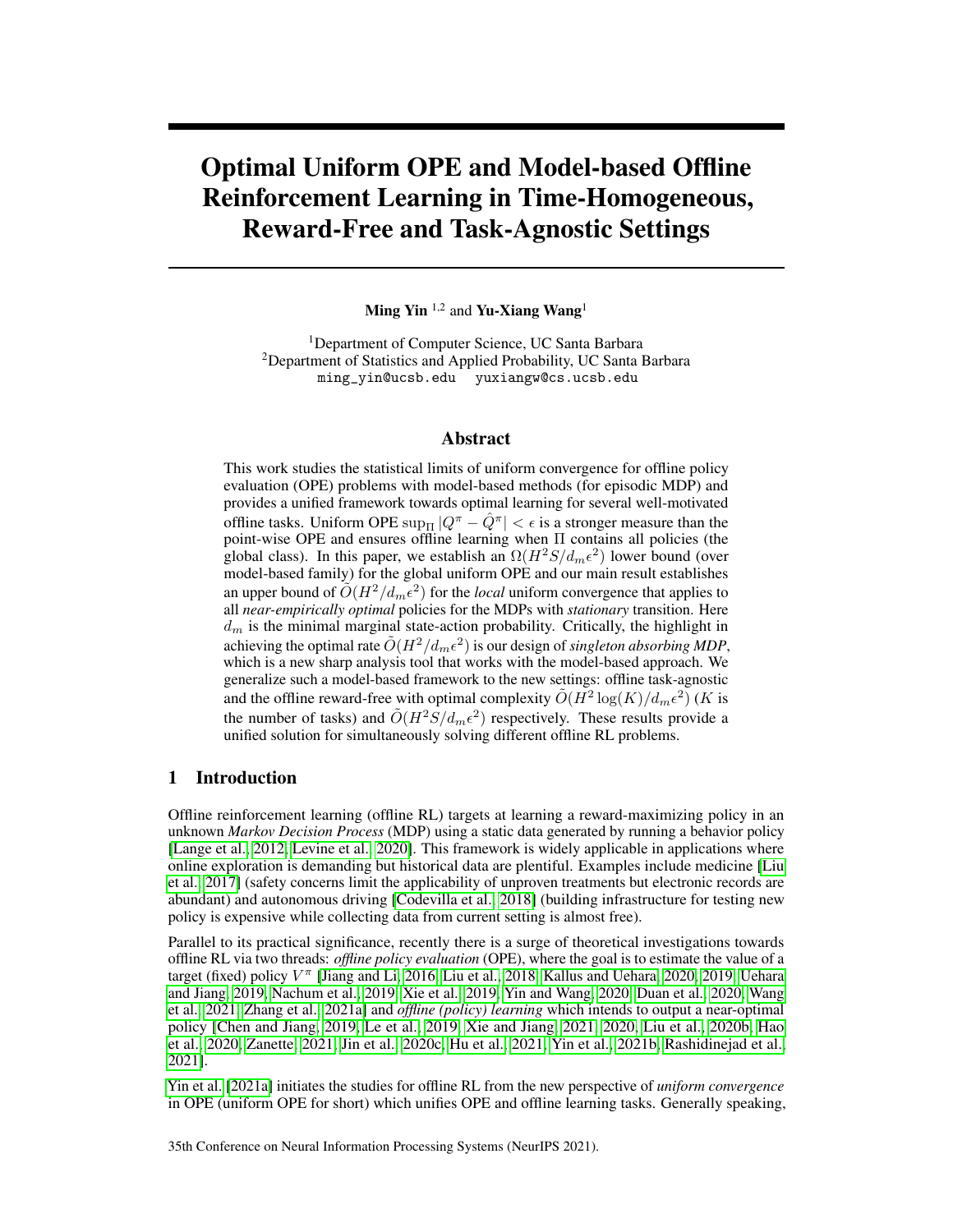# Optimal Uniform OPE and Model-based Offline Reinforcement Learning in Time-Homogeneous, Reward-Free and Task-Agnostic Settings

Ming Yin  $^{1,2}$  and Yu-Xiang Wang<sup>1</sup>

<sup>1</sup>Department of Computer Science, UC Santa Barbara <sup>2</sup>Department of Statistics and Applied Probability, UC Santa Barbara ming\_yin@ucsb.edu yuxiangw@cs.ucsb.edu

## Abstract

This work studies the statistical limits of uniform convergence for offline policy evaluation (OPE) problems with model-based methods (for episodic MDP) and provides a unified framework towards optimal learning for several well-motivated offline tasks. Uniform OPE  $\sup_{\Pi} |Q^{\pi} - \hat{Q}^{\pi}| < \epsilon$  is a stronger measure than the point-wise OPE and ensures offline learning when Π contains all policies (the global class). In this paper, we establish an  $\Omega(H^2S/d_m\epsilon^2)$  lower bound (over model-based family) for the global uniform OPE and our main result establishes an upper bound of  $O(H^2/d_m \epsilon^2)$  for the *local* uniform convergence that applies to all *near-empirically optimal* policies for the MDPs with *stationary* transition. Here  $d_m$  is the minimal marginal state-action probability. Critically, the highlight in achieving the optimal rate  $\tilde{O}(H^2/d_m\epsilon^2)$  is our design of *singleton absorbing MDP*, which is a new sharp analysis tool that works with the model-based approach. We generalize such a model-based framework to the new settings: offline task-agnostic and the offline reward-free with optimal complexity  $\tilde{O}(H^2 \log(K)/d_m \epsilon^2)$  (K is the number of tasks) and  $\tilde{O}(H^2S/d_m\epsilon^2)$  respectively. These results provide a unified solution for simultaneously solving different offline RL problems.

# <span id="page-0-0"></span>1 Introduction

Offline reinforcement learning (offline RL) targets at learning a reward-maximizing policy in an unknown *Markov Decision Process* (MDP) using a static data generated by running a behavior policy [\[Lange et al., 2012,](#page-11-0) [Levine et al., 2020\]](#page-11-1). This framework is widely applicable in applications where online exploration is demanding but historical data are plentiful. Examples include medicine [\[Liu](#page-12-0) [et al., 2017\]](#page-12-0) (safety concerns limit the applicability of unproven treatments but electronic records are abundant) and autonomous driving [\[Codevilla et al., 2018\]](#page-10-0) (building infrastructure for testing new policy is expensive while collecting data from current setting is almost free).

Parallel to its practical significance, recently there is a surge of theoretical investigations towards offline RL via two threads: *offline policy evaluation* (OPE), where the goal is to estimate the value of a target (fixed) policy V π [\[Jiang and Li, 2016,](#page-11-2) [Liu et al., 2018,](#page-11-3) [Kallus and Uehara, 2020,](#page-11-4) [2019,](#page-11-5) [Uehara](#page-12-1) [and Jiang, 2019,](#page-12-1) [Nachum et al., 2019,](#page-12-2) [Xie et al., 2019,](#page-12-3) [Yin and Wang, 2020,](#page-12-4) [Duan et al., 2020,](#page-10-1) [Wang](#page-12-5) [et al., 2021,](#page-12-5) [Zhang et al., 2021a\]](#page-13-0) and *offline (policy) learning* which intends to output a near-optimal policy [\[Chen and Jiang, 2019,](#page-10-2) [Le et al., 2019,](#page-11-6) [Xie and Jiang, 2021,](#page-12-6) [2020,](#page-12-7) [Liu et al., 2020b,](#page-11-7) [Hao](#page-10-3) [et al., 2020,](#page-10-3) [Zanette, 2021,](#page-13-1) [Jin et al., 2020c,](#page-11-8) [Hu et al., 2021,](#page-10-4) [Yin et al., 2021b,](#page-13-2) [Rashidinejad et al.,](#page-12-8) [2021\]](#page-12-8).

[Yin et al.](#page-13-3) [\[2021a\]](#page-13-3) initiates the studies for offline RL from the new perspective of *uniform convergence* in OPE (uniform OPE for short) which unifies OPE and offline learning tasks. Generally speaking,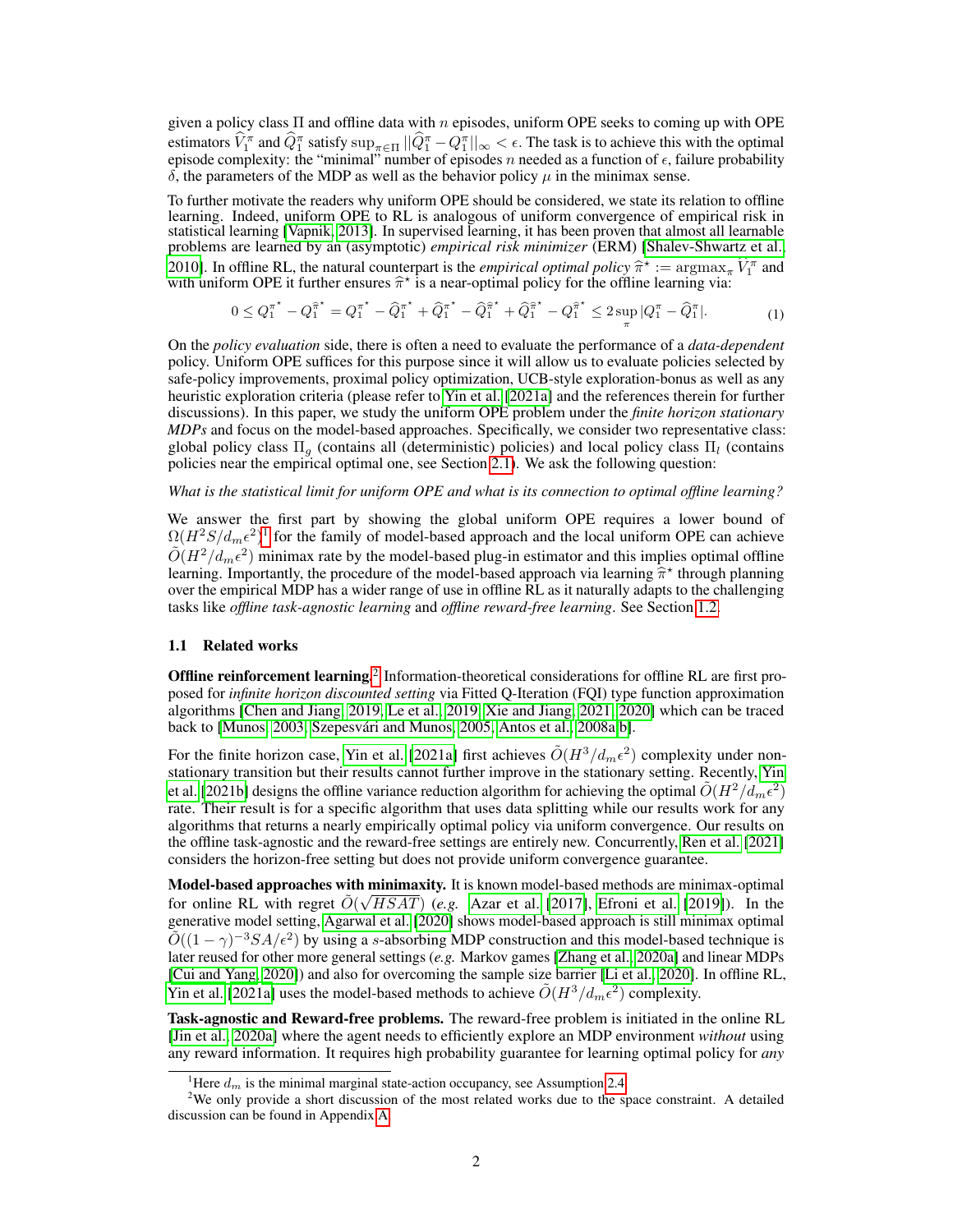given a policy class  $\Pi$  and offline data with n episodes, uniform OPE seeks to coming up with OPE estimators  $\hat{V}_1^{\pi}$  and  $\hat{Q}_1^{\pi}$  satisfy  $\sup_{\pi \in \Pi} ||\hat{Q}_1^{\pi} - Q_1^{\pi}||_{\infty} < \epsilon$ . The task is to achieve this with the optimal episode complexity: the "minimal" number of episodes n needed as a function of  $\epsilon$ , failure probability  $δ$ , the parameters of the MDP as well as the behavior policy  $μ$  in the minimax sense.

To further motivate the readers why uniform OPE should be considered, we state its relation to offline learning. Indeed, uniform OPE to RL is analogous of uniform convergence of empirical risk in statistical learning [\[Vapnik, 2013\]](#page-12-9). In supervised learning, it has been proven that almost all learnable problems are learned by an (asymptotic) *empirical risk minimizer* (ERM) [\[Shalev-Shwartz et al.,](#page-12-10) [2010\]](#page-12-10). In offline RL, the natural counterpart is the *empirical optimal policy*  $\hat{\pi}$  with uniform OPE it further ensures  $\hat{\pi}^*$  is a near-optimal policy for the offlin \* :=  $\arg \max_{\pi} \hat{V}_1^{\pi}$  and with uniform OPE it further ensures  $\hat{\pi}^*$  is a near-optimal policy for the offline learning via:

<span id="page-1-3"></span>
$$
0 \leq Q_1^{\pi^*} - Q_1^{\hat{\pi}^*} = Q_1^{\pi^*} - \hat{Q}_1^{\pi^*} + \hat{Q}_1^{\pi^*} - \hat{Q}_1^{\hat{\pi}^*} + \hat{Q}_1^{\hat{\pi}^*} - Q_1^{\hat{\pi}^*} \leq 2 \sup_{\pi} |Q_1^{\pi} - \hat{Q}_1^{\pi}|. \tag{1}
$$

On the *policy evaluation* side, there is often a need to evaluate the performance of a *data-dependent* policy. Uniform OPE suffices for this purpose since it will allow us to evaluate policies selected by safe-policy improvements, proximal policy optimization, UCB-style exploration-bonus as well as any heuristic exploration criteria (please refer to [Yin et al.](#page-13-3) [\[2021a\]](#page-13-3) and the references therein for further discussions). In this paper, we study the uniform OPE problem under the *finite horizon stationary MDPs* and focus on the model-based approaches. Specifically, we consider two representative class: global policy class  $\Pi_a$  (contains all (deterministic) policies) and local policy class  $\Pi_i$  (contains policies near the empirical optimal one, see Section [2.1\)](#page-3-0). We ask the following question:

#### *What is the statistical limit for uniform OPE and what is its connection to optimal offline learning?*

We answer the first part by showing the global uniform OPE requires a lower bound of  $\Omega(H^2S/d_m\epsilon^2)^1$  $\Omega(H^2S/d_m\epsilon^2)^1$  for the family of model-based approach and the local uniform OPE can achieve  $\tilde{O}(H^2/d_m\epsilon^2)$  minimax rate by the model-based plug-in estimator and this implies optimal offline learning. Importantly, the procedure of the model-based approach via learning  $\hat{\pi}^*$  through planning over the empirical MDP has a wider range of use in offline RL as it naturally adapts to the challenging over the empirical MDP has a wider range of use in offline RL as it naturally adapts to the challenging tasks like *offline task-agnostic learning* and *offline reward-free learning*. See Section [1.2.](#page-2-0)

## <span id="page-1-2"></span>1.1 Related works

Offline reinforcement learning.<sup>[2](#page-1-1)</sup> Information-theoretical considerations for offline RL are first proposed for *infinite horizon discounted setting* via Fitted Q-Iteration (FQI) type function approximation algorithms [\[Chen and Jiang, 2019,](#page-10-2) [Le et al., 2019,](#page-11-6) [Xie and Jiang, 2021,](#page-12-6) [2020\]](#page-12-7) which can be traced back to [\[Munos, 2003,](#page-12-11) [Szepesvári and Munos, 2005,](#page-12-12) [Antos et al., 2008a](#page-10-5)[,b\]](#page-10-6).

For the finite horizon case, [Yin et al.](#page-13-3) [\[2021a\]](#page-13-3) first achieves  $\tilde{O}(H^3/d_m\epsilon^2)$  complexity under nonstationary transition but their results cannot further improve in the stationary setting. Recently, [Yin](#page-13-2) [et al.](#page-13-2) [\[2021b\]](#page-13-2) designs the offline variance reduction algorithm for achieving the optimal  $\tilde{O}(H^2/d_m\epsilon^2)$ rate. Their result is for a specific algorithm that uses data splitting while our results work for any algorithms that returns a nearly empirically optimal policy via uniform convergence. Our results on the offline task-agnostic and the reward-free settings are entirely new. Concurrently, [Ren et al.](#page-12-13) [\[2021\]](#page-12-13) considers the horizon-free setting but does not provide uniform convergence guarantee.

Model-based approaches with minimaxity. It is known model-based methods are minimax-optimal for online RL with regret  $\tilde{O}(\sqrt{HSAT})$  (*e.g.* [Azar et al.](#page-10-7) [\[2017\]](#page-10-7), [Efroni et al.](#page-10-8) [\[2019\]](#page-10-8)). In the generative model setting, [Agarwal et al.](#page-10-9) [\[2020\]](#page-10-9) shows model-based approach is still minimax optimal  $\tilde{O}((1 - \gamma)^{-3} S A/\epsilon^2)$  by using a s-absorbing MDP construction and this model-based technique is later reused for other more general settings (*e.g.* Markov games [\[Zhang et al., 2020a\]](#page-13-4) and linear MDPs [\[Cui and Yang, 2020\]](#page-10-10)) and also for overcoming the sample size barrier [\[Li et al., 2020\]](#page-11-9). In offline RL, [Yin et al.](#page-13-3) [\[2021a\]](#page-13-3) uses the model-based methods to achieve  $\tilde{O}(H^3/d_m\epsilon^2)$  complexity.

Task-agnostic and Reward-free problems. The reward-free problem is initiated in the online RL [\[Jin et al., 2020a\]](#page-11-10) where the agent needs to efficiently explore an MDP environment *without* using any reward information. It requires high probability guarantee for learning optimal policy for *any*

<span id="page-1-1"></span><span id="page-1-0"></span><sup>&</sup>lt;sup>1</sup>Here  $d_m$  is the minimal marginal state-action occupancy, see Assumption [2.4.](#page-4-0)

<sup>&</sup>lt;sup>2</sup>We only provide a short discussion of the most related works due to the space constraint. A detailed discussion can be found in Appendix [A.](#page--1-0)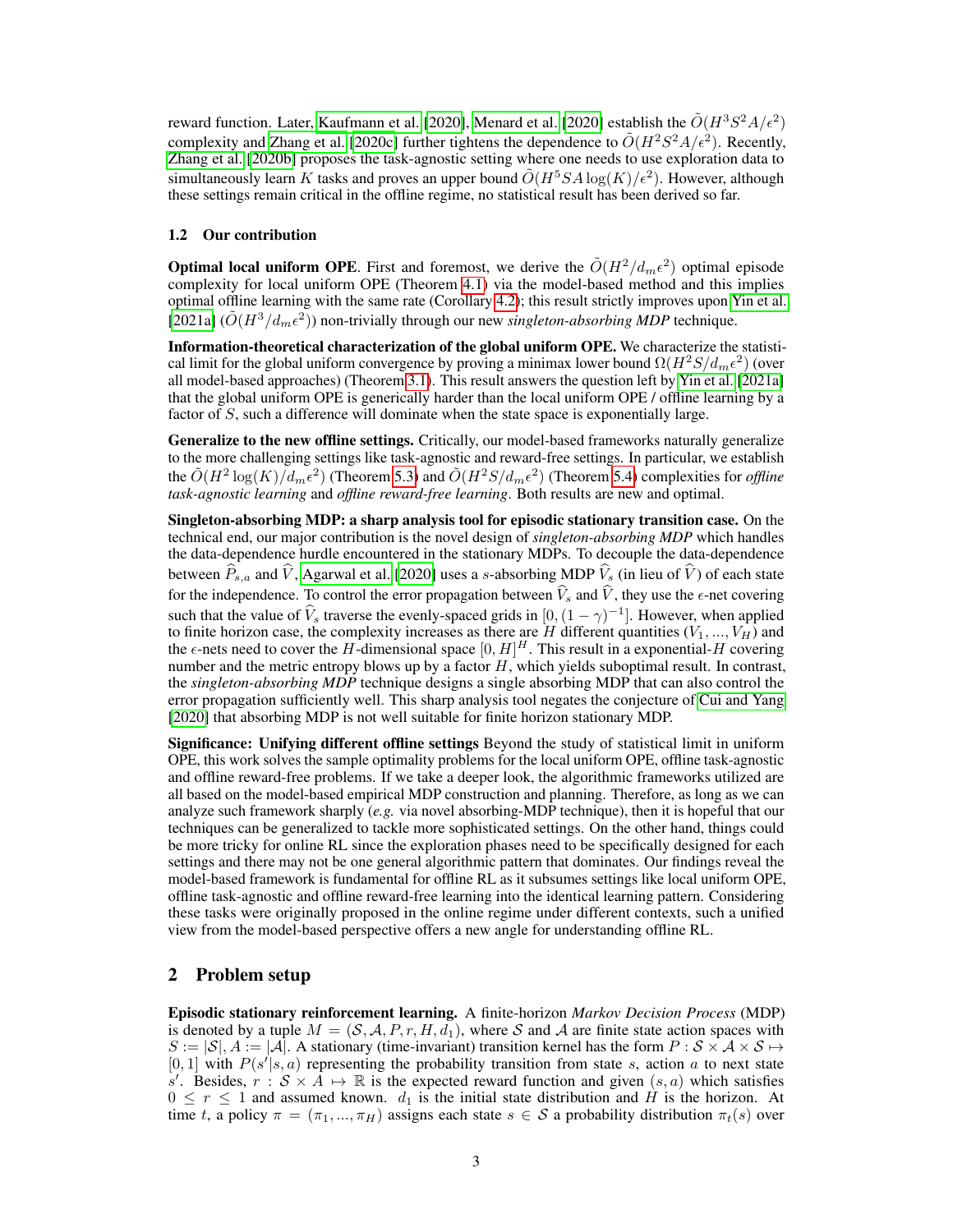reward function. Later, [Kaufmann et al.](#page-11-11) [\[2020\]](#page-12-14), [Menard et al.](#page-12-14) [2020] establish the  $\tilde O(H^3S^2A/\epsilon^2)$ complexity and [Zhang et al.](#page-13-5) [\[2020c\]](#page-13-5) further tightens the dependence to  $\tilde{O}(H^2S^2A/\epsilon^2)$ . Recently, [Zhang et al.](#page-13-6) [\[2020b\]](#page-13-6) proposes the task-agnostic setting where one needs to use exploration data to simultaneously learn K tasks and proves an upper bound  $\tilde{O}(H^5SA \log(K)/\epsilon^2)$ . However, although these settings remain critical in the offline regime, no statistical result has been derived so far.

## <span id="page-2-0"></span>1.2 Our contribution

**Optimal local uniform OPE**. First and foremost, we derive the  $\tilde{O}(H^2/d_m\epsilon^2)$  optimal episode complexity for local uniform OPE (Theorem [4.1\)](#page-5-0) via the model-based method and this implies optimal offline learning with the same rate (Corollary [4.2\)](#page-6-0); this result strictly improves upon [Yin et al.](#page-13-3) [\[2021a\]](#page-13-3)  $(\tilde{O}(H^3/d_m\epsilon^2))$  non-trivially through our new *singleton-absorbing MDP* technique.

Information-theoretical characterization of the global uniform OPE. We characterize the statistical limit for the global uniform convergence by proving a minimax lower bound  $\Omega(H^2S/d_m\epsilon^2)$  (over all model-based approaches) (Theorem [3.1\)](#page-4-1). This result answers the question left by [Yin et al.](#page-13-3) [\[2021a\]](#page-13-3) that the global uniform OPE is generically harder than the local uniform OPE / offline learning by a factor of S, such a difference will dominate when the state space is exponentially large.

Generalize to the new offline settings. Critically, our model-based frameworks naturally generalize to the more challenging settings like task-agnostic and reward-free settings. In particular, we establish the  $\tilde{O}(H^2 \log(K)/d_m \epsilon^2)$  (Theorem [5.3\)](#page-8-0) and  $\tilde{O}(H^2 S/d_m \epsilon^2)$  (Theorem [5.4\)](#page-8-1) complexities for *offline task-agnostic learning* and *offline reward-free learning*. Both results are new and optimal.

Singleton-absorbing MDP: a sharp analysis tool for episodic stationary transition case. On the technical end, our major contribution is the novel design of *singleton-absorbing MDP* which handles the data-dependence hurdle encountered in the stationary MDPs. To decouple the data-dependence between  $\hat{P}_{s,a}$  and  $\hat{V}$ , [Agarwal et al.](#page-10-9) [\[2020\]](#page-10-9) uses a s-absorbing MDP  $\hat{V}_s$  (in lieu of  $\hat{V}$ ) of each state for the independence. To control the error propagation between  $\hat{V}_s$  and  $\hat{V}$ , they use the  $\epsilon$ -net covering such that the value of  $\hat{V}_s$  traverse the evenly-spaced grids in  $[0, (1 - \gamma)^{-1}]$ . However, when applied to finite horizon case, the complexity increases as there are H different quantities  $(V_1, ..., V_H)$  and the  $\epsilon$ -nets need to cover the H-dimensional space  $[0, H]^H$ . This result in a exponential-H covering number and the metric entropy blows up by a factor  $H$ , which yields suboptimal result. In contrast, the *singleton-absorbing MDP* technique designs a single absorbing MDP that can also control the error propagation sufficiently well. This sharp analysis tool negates the conjecture of [Cui and Yang](#page-10-10) [\[2020\]](#page-10-10) that absorbing MDP is not well suitable for finite horizon stationary MDP.

Significance: Unifying different offline settings Beyond the study of statistical limit in uniform OPE, this work solves the sample optimality problems for the local uniform OPE, offline task-agnostic and offline reward-free problems. If we take a deeper look, the algorithmic frameworks utilized are all based on the model-based empirical MDP construction and planning. Therefore, as long as we can analyze such framework sharply (*e.g.* via novel absorbing-MDP technique), then it is hopeful that our techniques can be generalized to tackle more sophisticated settings. On the other hand, things could be more tricky for online RL since the exploration phases need to be specifically designed for each settings and there may not be one general algorithmic pattern that dominates. Our findings reveal the model-based framework is fundamental for offline RL as it subsumes settings like local uniform OPE, offline task-agnostic and offline reward-free learning into the identical learning pattern. Considering these tasks were originally proposed in the online regime under different contexts, such a unified view from the model-based perspective offers a new angle for understanding offline RL.

## <span id="page-2-1"></span>2 Problem setup

Episodic stationary reinforcement learning. A finite-horizon *Markov Decision Process* (MDP) is denoted by a tuple  $M = (S, \mathcal{A}, P, r, H, d_1)$ , where S and A are finite state action spaces with  $S := |\mathcal{S}|$ ,  $A := |\mathcal{A}|$ . A stationary (time-invariant) transition kernel has the form  $P : \mathcal{S} \times \mathcal{A} \times \mathcal{S} \mapsto$ [0, 1] with  $P(s'|s, a)$  representing the probability transition from state s, action a to next state s'. Besides,  $r : S \times A \mapsto \mathbb{R}$  is the expected reward function and given  $(s, a)$  which satisfies  $0 \leq r \leq 1$  and assumed known.  $d_1$  is the initial state distribution and H is the horizon. At time t, a policy  $\pi = (\pi_1, ..., \pi_H)$  assigns each state  $s \in S$  a probability distribution  $\pi_t(s)$  over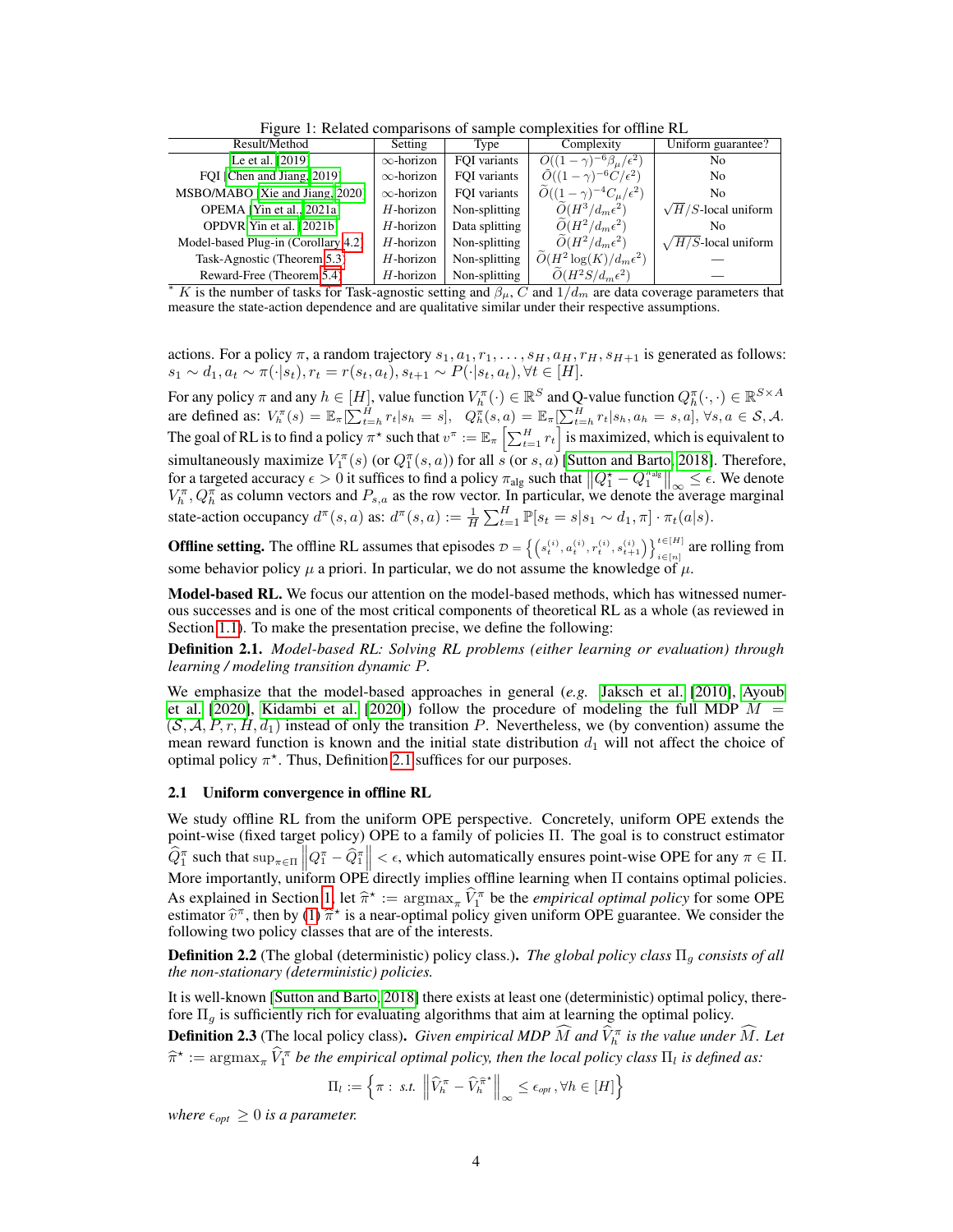Figure 1: Related comparisons of sample complexities for offline RL

| Result/Method                                                                                                            | Setting           | Type           | Complexity                                         | Uniform guarantee?          |
|--------------------------------------------------------------------------------------------------------------------------|-------------------|----------------|----------------------------------------------------|-----------------------------|
| Le et al. [2019]                                                                                                         | $\infty$ -horizon | FOI variants   | $\ddot{O}((1-\gamma)^{-6}\beta_{\mu}/\epsilon^2)$  | No                          |
| FOI [Chen and Jiang, 2019]                                                                                               | $\infty$ -horizon | FOI variants   | $\ddot{O}((1-\gamma)^{-6}C/\epsilon^2)$            | N <sub>0</sub>              |
| MSBO/MABO [Xie and Jiang, 2020]                                                                                          | $\infty$ -horizon | FOI variants   | $\widetilde{O}((1-\gamma)^{-4}C_{\mu}/\epsilon^2)$ | No.                         |
| OPEMA [Yin et al., 2021a]                                                                                                | $H$ -horizon      | Non-splitting  | $\widetilde{O}(H^3/d_m\epsilon^2)$                 | $\sqrt{H/S}$ -local uniform |
| OPDVR Yin et al. [2021b]                                                                                                 | $H$ -horizon      | Data splitting | $\widetilde{O}(H^2/d_m\epsilon^2)$                 | N <sub>0</sub>              |
| Model-based Plug-in (Corollary 4.2)                                                                                      | $H$ -horizon      | Non-splitting  | $\widetilde{O}(H^2/d_m\epsilon^2)$                 | $\sqrt{H/S}$ -local uniform |
| Task-Agnostic (Theorem 5.3)                                                                                              | $H$ -horizon      | Non-splitting  | $\widetilde{O}(H^2 \log(K) / d_m \epsilon^2)$      |                             |
| Reward-Free (Theorem 5.4)                                                                                                | $H$ -horizon      | Non-splitting  | $O(H^2S/d_m\epsilon^2)$                            |                             |
| * K is the number of tasks for Task-agnostic setting and $\beta_{\mu}$ , C and $1/d_m$ are data coverage parameters that |                   |                |                                                    |                             |

measure the state-action dependence and are qualitative similar under their respective assumptions.

actions. For a policy  $\pi$ , a random trajectory  $s_1, a_1, r_1, \ldots, s_H, a_H, r_H, s_{H+1}$  is generated as follows:  $s_1 \sim d_1, a_t \sim \pi(\cdot|s_t), r_t = r(s_t, a_t), s_{t+1} \sim P(\cdot|s_t, a_t), \forall t \in [H].$ 

For any policy  $\pi$  and any  $h \in [H]$ , value function  $V_h^{\pi}(\cdot) \in \mathbb{R}^S$  and Q-value function  $Q_h^{\pi}(\cdot, \cdot) \in \mathbb{R}^{S \times A}$ are defined as:  $V_h^{\pi}(s) = \mathbb{E}_{\pi}[\sum_{t=h}^H r_t | s_h = s], \quad Q_h^{\pi}(s, a) = \mathbb{E}_{\pi}[\sum_{t=h}^H r_t | s_h, a_h = s, a], \forall s, a \in \mathcal{S}, \mathcal{A}.$ The goal of RL is to find a policy  $\pi^*$  such that  $v^\pi:=\mathbb{E}_\pi\left[\sum_{t=1}^H r_t\right]$  is maximized, which is equivalent to simultaneously maximize  $V_1^{\pi}(s)$  (or  $Q_1^{\pi}(s, a)$ ) for all s (or s, a) [\[Sutton and Barto, 2018\]](#page-12-15). Therefore, for a targeted accuracy  $\epsilon > 0$  it suffices to find a policy  $\pi_{\text{alg}}$  such that  $\left\|Q_1^* - Q_1^{\pi_{\text{alg}}}\right\|_{\infty} \leq \epsilon$ . We denote  $V_h^{\pi}, Q_h^{\pi}$  as column vectors and  $P_{s,a}$  as the row vector. In particular, we denote the average marginal state-action occupancy  $d^{\pi}(s, a)$  as:  $d^{\pi}(s, a) := \frac{1}{H} \sum_{t=1}^{H} \mathbb{P}[s_t = s | s_1 \sim d_1, \pi] \cdot \pi_t(a|s)$ .

**Offline setting.** The offline RL assumes that episodes  $\mathcal{D} = \left\{ \left( s_t^{(i)}, a_t^{(i)}, r_t^{(i)}, s_{t+1}^{(i)} \right) \right\}_{i \in [n]}^{t \in [H]}$  are rolling from some behavior policy  $\mu$  a priori. In particular, we do not assume the knowledge of  $\mu$ .

Model-based RL. We focus our attention on the model-based methods, which has witnessed numerous successes and is one of the most critical components of theoretical RL as a whole (as reviewed in Section [1.1\)](#page-1-2). To make the presentation precise, we define the following:

<span id="page-3-1"></span>Definition 2.1. *Model-based RL: Solving RL problems (either learning or evaluation) through learning / modeling transition dynamic* P*.*

We emphasize that the model-based approaches in general (*e.g.* [Jaksch et al.](#page-11-12) [\[2010\]](#page-11-12), [Ayoub](#page-10-11) [et al.](#page-10-11) [\[2020\]](#page-11-13), [Kidambi et al.](#page-11-13) [2020]) follow the procedure of modeling the full MDP  $M =$  $(S, A, P, r, H, d_1)$  instead of only the transition P. Nevertheless, we (by convention) assume the mean reward function is known and the initial state distribution  $d_1$  will not affect the choice of optimal policy  $\pi^*$ . Thus, Definition [2.1](#page-3-1) suffices for our purposes.

#### <span id="page-3-0"></span>2.1 Uniform convergence in offline RL

We study offline RL from the uniform OPE perspective. Concretely, uniform OPE extends the point-wise (fixed target policy) OPE to a family of policies Π. The goal is to construct estimator  $\widehat{Q}_1^{\pi}$  such that  $\sup_{\pi \in \Pi} ||Q_1^{\pi} - \widehat{Q}_1^{\pi}|| < \epsilon$ , which automatically ensures point-wise OPE for any  $\pi \in \Pi$ .<br>More importantly, uniform OPE directly implies offline learning when  $\Pi$  contains optimal policie As explained in Section [1,](#page-0-0) let  $\hat{\pi}^* := \argmax_{\pi} \hat{V}_1^{\pi}$  be the *empirical optimal policy* for some OPE estimator  $\hat{v}^{\pi}$  then by (1)  $\hat{\pi}^*$  is a near-optimal policy given uniform OPE guarantee. We consider the estimator  $\hat{v}^{\pi}$ , then by [\(1\)](#page-1-3)  $\hat{\pi}^{\star}$  is a near-optimal policy given uniform OPE guarantee. We consider the following two policy classes that are of the interests following two policy classes that are of the interests.

<span id="page-3-2"></span>**Definition 2.2** (The global (deterministic) policy class.). *The global policy class*  $\Pi_q$  *consists of all the non-stationary (deterministic) policies.*

It is well-known [\[Sutton and Barto, 2018\]](#page-12-15) there exists at least one (deterministic) optimal policy, therefore  $\Pi<sub>q</sub>$  is sufficiently rich for evaluating algorithms that aim at learning the optimal policy.

<span id="page-3-3"></span>**Definition 2.3** (The local policy class). *Given empirical MDP*  $\widehat{M}$  *and*  $\widehat{V}_h^{\pi}$  *is the value under*  $\widehat{M}$ *. Let*  $\hat{\pi}^* := \argmax_{\pi} \hat{V}_1^{\pi}$  *be the empirical optimal policy, then the local policy class*  $\Pi_l$  *is defined as:* 

$$
\Pi_l := \left\{ \pi : \ s.t. \ \left\| \widehat{V}_h^{\pi} - \widehat{V}_h^{\widehat{\pi}^*} \right\|_{\infty} \le \epsilon_{opt}, \forall h \in [H] \right\}
$$

*where*  $\epsilon_{opt} \geq 0$  *is a parameter.*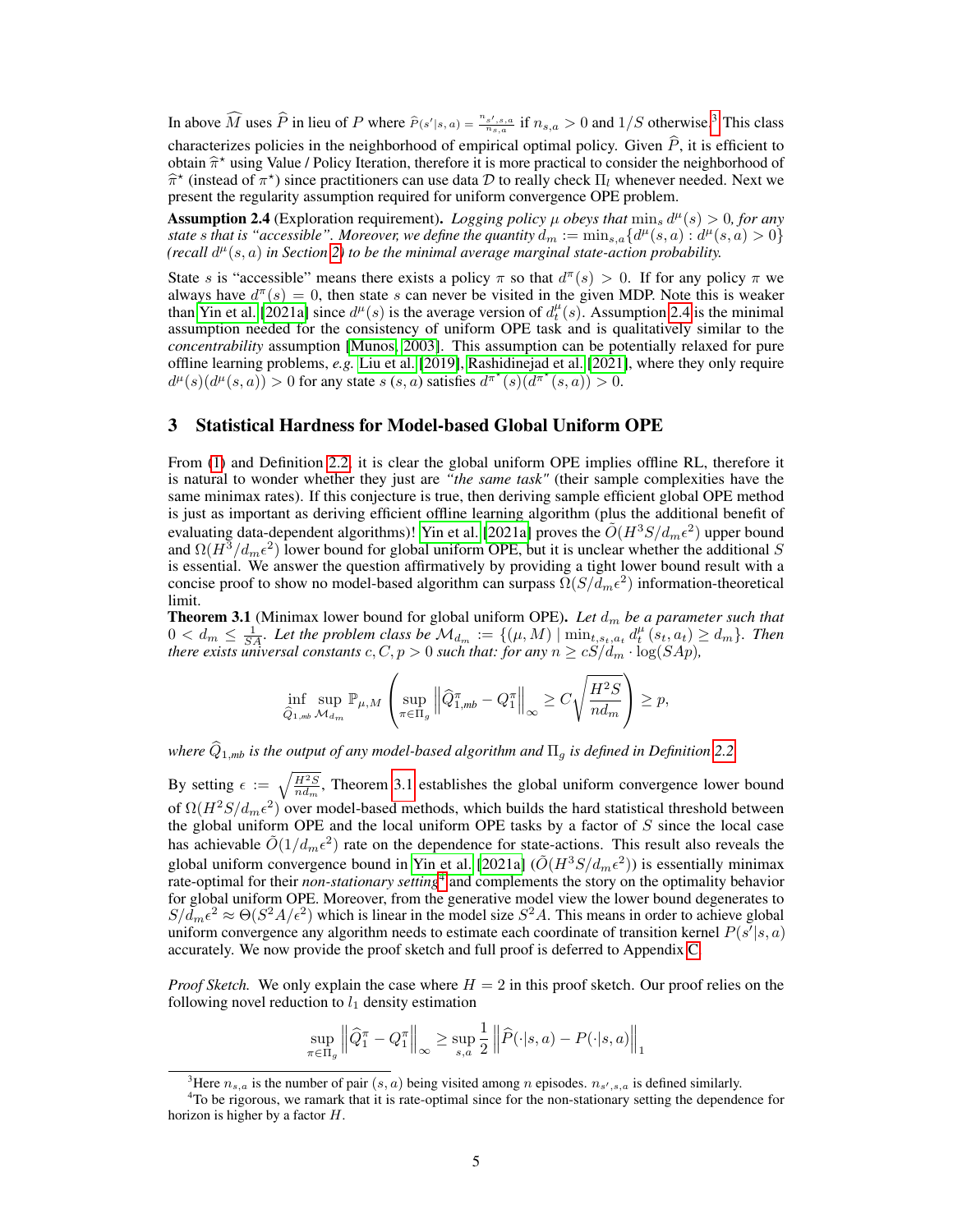In above  $\widehat{M}$  uses  $\widehat{P}$  in lieu of P where  $\widehat{P}(s'|s,a) = \frac{n_{s',s,a}}{n_{s,a}}$  if  $n_{s,a} > 0$  and  $1/S$  otherwise.<sup>[3](#page-4-2)</sup> This class characterizes policies in the neighborhood of empirical optimal policy. Given  $\hat{P}$ , it is efficient to obtain  $\hat{\pi}^*$  using Value / Policy Iteration, therefore it is more practical to consider the neighborhood of  $\hat{\pi}^*$  (instead of  $\pi^*$ ) since practitioners can use data  $\hat{\pi}$  to really check  $\Pi$ , whenever needed.  $\hat{\pi}^*$  (instead of  $\pi^*$ ) since practitioners can use data D to really check  $\Pi_l$  whenever needed. Next we<br>present the regularity assumption required for uniform convergence OPE problem present the regularity assumption required for uniform convergence OPE problem.

<span id="page-4-0"></span>**Assumption 2.4** (Exploration requirement). *Logging policy*  $\mu$  *obeys that*  $\min_s d^{\mu}(s) > 0$ *, for any state* s that is "accessible". Moreover, we define the quantity  $d_m := \min_{s,a} \{ d^{\mu}(s,a) : d^{\mu}(s,a) > 0 \}$  $(\text{recall } d^{\mu}(s, a) \text{ in Section 2})$  to be the minimal average marginal state-action probability.

State s is "accessible" means there exists a policy  $\pi$  so that  $d^{\pi}(s) > 0$ . If for any policy  $\pi$  we always have  $d^{\pi}(s) = 0$ , then state s can never be visited in the given MDP. Note this is weaker than [Yin et al.](#page-13-3) [\[2021a\]](#page-13-3) since  $d^{\mu}(s)$  is the average version of  $d_t^{\mu}(s)$ . Assumption [2.4](#page-4-0) is the minimal assumption needed for the consistency of uniform OPE task and is qualitatively similar to the *concentrability* assumption [\[Munos, 2003\]](#page-12-11). This assumption can be potentially relaxed for pure offline learning problems, *e.g.* [Liu et al.](#page-11-14) [\[2019\]](#page-11-14), [Rashidinejad et al.](#page-12-8) [\[2021\]](#page-12-8), where they only require  $d^{\mu}(s)(d^{\mu}(s, a)) > 0$  for any state  $s(s, a)$  satisfies  $d^{\pi^*}(s)(d^{\pi^*}(s, a)) > 0$ .

# 3 Statistical Hardness for Model-based Global Uniform OPE

From [\(1\)](#page-1-3) and Definition [2.2,](#page-3-2) it is clear the global uniform OPE implies offline RL, therefore it is natural to wonder whether they just are *"the same task"* (their sample complexities have the same minimax rates). If this conjecture is true, then deriving sample efficient global OPE method is just as important as deriving efficient offline learning algorithm (plus the additional benefit of evaluating data-dependent algorithms)! [Yin et al.](#page-13-3) [\[2021a\]](#page-13-3) proves the  $\tilde{O}(H^3S/d_m\epsilon^2)$  upper bound and  $\Omega(H^3/d_m\epsilon^2)$  lower bound for global uniform OPE, but it is unclear whether the additional S is essential. We answer the question affirmatively by providing a tight lower bound result with a concise proof to show no model-based algorithm can surpass  $\tilde{\Omega}(S/d_m\epsilon^2)$  information-theoretical limit.

<span id="page-4-1"></span>**Theorem 3.1** (Minimax lower bound for global uniform OPE). Let  $d_m$  be a parameter such that  $0 < d_m \leq \frac{1}{SA}$ . Let the problem class be  $\mathcal{M}_{d_m} := \{(\mu, M) \mid \min_{t,s_t,a_t} d_t^{\mu} (s_t,a_t) \geq d_m\}$ . Then *there exists universal constants*  $c, C, p > 0$  *such that: for any*  $n \ge cS/d_m \cdot \log(SAp)$ ,

$$
\inf_{\widehat{Q}_{1,mb}} \sup_{\mathcal{M}_{d_m}} \mathbb{P}_{\mu,M} \left( \sup_{\pi \in \Pi_g} \left\| \widehat{Q}_{1,mb}^{\pi} - Q_1^{\pi} \right\|_{\infty} \ge C \sqrt{\frac{H^2 S}{n d_m}} \right) \ge p,
$$

*where*  $\widehat{Q}_{1,mb}$  *is the output of any model-based algorithm and*  $\Pi_q$  *is defined in Definition* [2.2.](#page-3-2)

By setting  $\epsilon := \sqrt{\frac{H^2 S}{n d_m}}$ , Theorem [3.1](#page-4-1) establishes the global uniform convergence lower bound of  $\Omega(H^2S/d_m\epsilon^2)$  over model-based methods, which builds the hard statistical threshold between the global uniform OPE and the local uniform OPE tasks by a factor of  $S$  since the local case has achievable  $\tilde{O}(1/d_m\epsilon^2)$  rate on the dependence for state-actions. This result also reveals the global uniform convergence bound in [Yin et al.](#page-13-3) [\[2021a\]](#page-13-3)  $(\tilde{O}(H^3S/d_m\epsilon^2))$  is essentially minimax rate-optimal for their *non-stationary setting*[4](#page-4-3) and complements the story on the optimality behavior for global uniform OPE. Moreover, from the generative model view the lower bound degenerates to  $S/\bar{d}_m\epsilon^2 \approx \Theta(S^2A/\epsilon^2)$  which is linear in the model size  $S^2A$ . This means in order to achieve global uniform convergence any algorithm needs to estimate each coordinate of transition kernel  $P(s'|s, a)$ accurately. We now provide the proof sketch and full proof is deferred to Appendix [C.](#page--1-1)

*Proof Sketch.* We only explain the case where  $H = 2$  in this proof sketch. Our proof relies on the following novel reduction to  $l_1$  density estimation

$$
\sup_{\pi \in \Pi_g} \left\| \widehat{Q}_1^{\pi} - Q_1^{\pi} \right\|_{\infty} \ge \sup_{s,a} \frac{1}{2} \left\| \widehat{P}(\cdot | s, a) - P(\cdot | s, a) \right\|_{1}
$$

<span id="page-4-3"></span><span id="page-4-2"></span><sup>&</sup>lt;sup>3</sup>Here  $n_{s,a}$  is the number of pair  $(s,a)$  being visited among n episodes.  $n_{s',s,a}$  is defined similarly.

<sup>&</sup>lt;sup>4</sup>To be rigorous, we ramark that it is rate-optimal since for the non-stationary setting the dependence for horizon is higher by a factor H.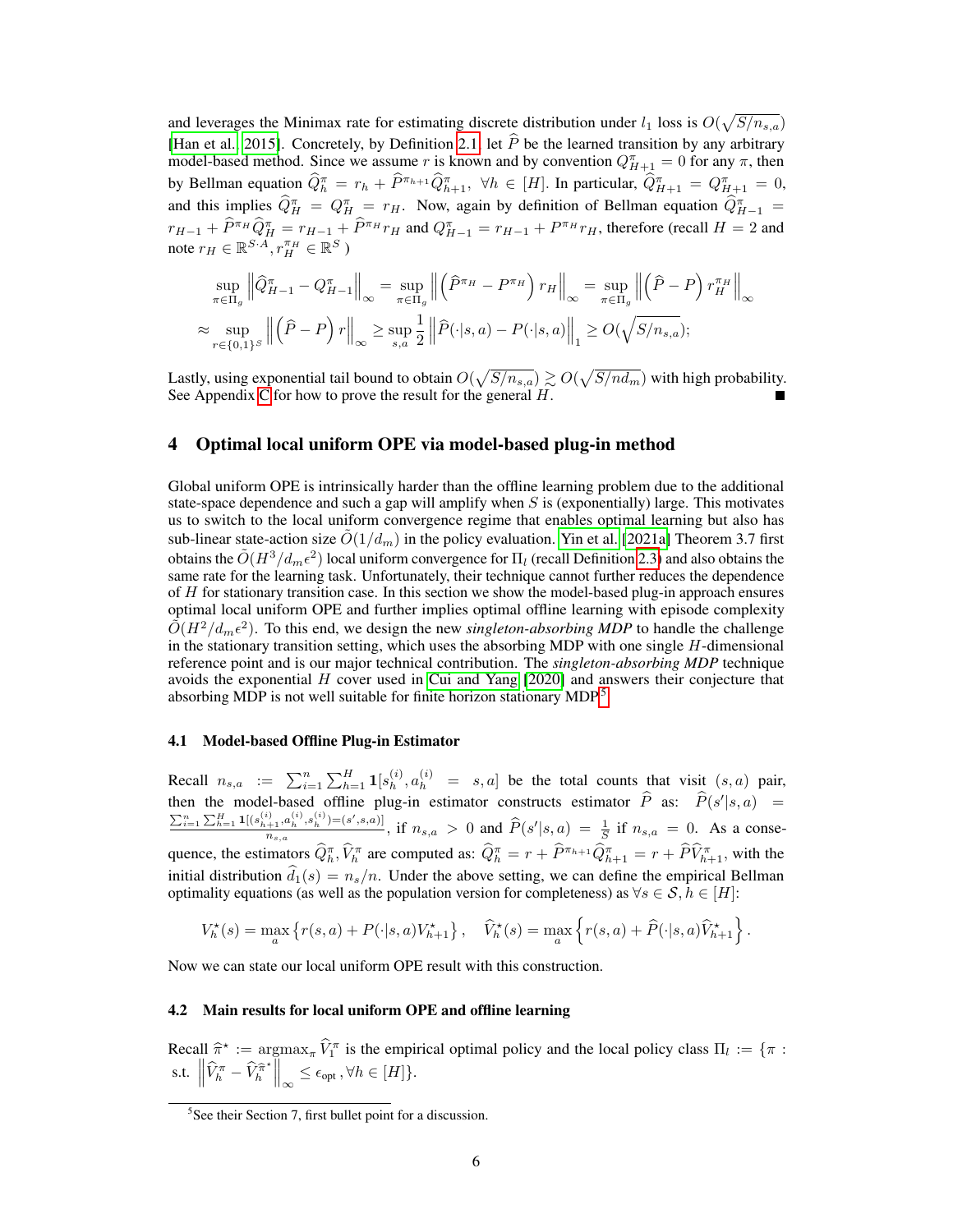and leverages the Minimax rate for estimating discrete distribution under  $l_1$  loss is  $O(\sqrt{S/n_{s,a}})$ [\[Han et al., 2015\]](#page-10-12). Concretely, by Definition [2.1,](#page-3-1) let P be the learned transition by any arbitrary model-based method. Since we assume r is known and by convention  $Q_{H+1}^{\pi} = 0$  for any  $\pi$ , then by Bellman equation  $\widehat{Q}_h^{\pi} = r_h + \widehat{P}^{\pi_{h+1}} \widehat{Q}_{h+1}^{\pi}$ ,  $\forall h \in [H]$ . In particular,  $\widehat{Q}_{H+1}^{\pi} = Q_{H+1}^{\pi} = 0$ , and this implies  $\hat{Q}_{H}^{\pi} = Q_{H}^{\pi} = r_H$ . Now, again by definition of Bellman equation  $\hat{Q}_{H-1}^{\pi} =$  $r_{H-1} + \hat{P}^{\pi}{}_{H}\hat{Q}_{H}^{\pi} = r_{H-1} + \hat{P}^{\pi}{}_{H}r_{H}$  and  $Q_{H-1}^{\pi} = r_{H-1} + P^{\pi}{}_{H}r_{H}$ , therefore (recall  $H = 2$  and note  $r_H \in \mathbb{R}^{S \cdot A}, r_H^{\pi_H} \in \mathbb{R}^S$ )

$$
\sup_{\pi \in \Pi_g} \left\| \widehat{Q}_{H-1}^{\pi} - Q_{H-1}^{\pi} \right\|_{\infty} = \sup_{\pi \in \Pi_g} \left\| \left( \widehat{P}^{\pi_H} - P^{\pi_H} \right) r_H \right\|_{\infty} = \sup_{\pi \in \Pi_g} \left\| \left( \widehat{P} - P \right) r_H^{\pi_H} \right\|_{\infty}
$$

$$
\approx \sup_{r \in \{0,1\}^S} \left\| \left( \widehat{P} - P \right) r \right\|_{\infty} \ge \sup_{s,a} \frac{1}{2} \left\| \widehat{P}(\cdot|s,a) - P(\cdot|s,a) \right\|_{1} \ge O(\sqrt{S/n_{s,a}});
$$

Lastly, using exponential tail bound to obtain  $O(\sqrt{S/n_{s,a}}) \gtrsim O(\sqrt{S/n_{m}})$  with high probability. See Appendix [C](#page--1-1) for how to prove the result for the general  $H$ .

# 4 Optimal local uniform OPE via model-based plug-in method

Global uniform OPE is intrinsically harder than the offline learning problem due to the additional state-space dependence and such a gap will amplify when  $S$  is (exponentially) large. This motivates us to switch to the local uniform convergence regime that enables optimal learning but also has sub-linear state-action size  $\tilde{O}(1/d_m)$  in the policy evaluation. [Yin et al.](#page-13-3) [\[2021a\]](#page-13-3) Theorem 3.7 first obtains the  $\tilde{O}(H^3/d_m\epsilon^2)$  local uniform convergence for  $\Pi_l$  (recall Definition [2.3\)](#page-3-3) and also obtains the same rate for the learning task. Unfortunately, their technique cannot further reduces the dependence of  $H$  for stationary transition case. In this section we show the model-based plug-in approach ensures optimal local uniform OPE and further implies optimal offline learning with episode complexity  $\tilde{O}(H^2/d_m\epsilon^2)$ . To this end, we design the new *singleton-absorbing MDP* to handle the challenge in the stationary transition setting, which uses the absorbing MDP with one single  $H$ -dimensional reference point and is our major technical contribution. The *singleton-absorbing MDP* technique avoids the exponential  $H$  cover used in [Cui and Yang](#page-10-10)  $[2020]$  and answers their conjecture that absorbing MDP is not well suitable for finite horizon stationary MDP.[5](#page-5-1)

## 4.1 Model-based Offline Plug-in Estimator

Recall  $n_{s,a} := \sum_{i=1}^{n} \sum_{h=1}^{H} \mathbf{1}[s_h^{(i)}]$  $\begin{bmatrix} (i) & (i) & (ii) \\ (i) & (ii) & (iii) \end{bmatrix}$  on the total counts that visit  $(s, a)$  pair, then the model-based offline plug-in estimator constructs estimator  $\hat{P}$  as:  $\hat{P}(s'|s, a) = \sum_{k=1}^{\infty} P(k'|s, a)$  $\sum_{i=1}^n\sum_{h=1}^H{\bf 1}[(s_{h+1}^{(i)},a_h^{(i)},s_h^{(i)}){=} (s',s,a)]$  $\frac{(a+1)(a)_h}{n_{s,a}}$ ,  $\frac{(s-1)(s-1)(s-1)}{s-1}$ , if  $n_{s,a} > 0$  and  $\widehat{P}(s'|s,a) = \frac{1}{S}$  if  $n_{s,a} = 0$ . As a consequence, the estimators  $\widehat{Q}_h^{\pi}$ ,  $\widehat{V}_h^{\pi}$  are computed as:  $\widehat{Q}_h^{\pi} = r + \widehat{P}^{\pi_{h+1}} \widehat{Q}_{h+1}^{\pi} = r + \widehat{P} \widehat{V}_{h+1}^{\pi}$ , with the initial distribution  $d_1(s) = n_s/n$ . Under the above setting, we can define the empirical Bellman optimality equations (as well as the population version for completeness) as  $\forall s \in S, h \in [H]$ :

$$
V_h^{\star}(s) = \max_a \left\{ r(s, a) + P(\cdot | s, a) V_{h+1}^{\star} \right\}, \quad \widehat{V}_h^{\star}(s) = \max_a \left\{ r(s, a) + \widehat{P}(\cdot | s, a) \widehat{V}_{h+1}^{\star} \right\}.
$$

Now we can state our local uniform OPE result with this construction.

## 4.2 Main results for local uniform OPE and offline learning

Recall  $\hat{\pi}^* := \argmax_{\pi} \hat{V}_1^{\pi}$  is the empirical optimal policy and the local policy class  $\Pi_l := \{\pi : ||\hat{\pi}_l \geq ||\hat{\pi}_l \geq ||\hat{\pi}_l \geq ||\hat{\pi}_l \geq ||\hat{\pi}_l \geq ||\hat{\pi}_l \geq ||\hat{\pi}_l \geq ||\hat{\pi}_l \geq ||\hat{\pi}_l \geq ||\hat{\pi}_l \geq ||\hat{\pi}_l \geq ||\hat{\pi}_l \$ s.t.  $\left\| \widehat{V}_h^{\pi} - \widehat{V}_h^{\widehat{\pi}^{\star}} \right\|_{\infty} \leq \epsilon_{\text{opt}}, \forall h \in [H] \}.$ 

<span id="page-5-1"></span><span id="page-5-0"></span><sup>&</sup>lt;sup>5</sup>See their Section 7, first bullet point for a discussion.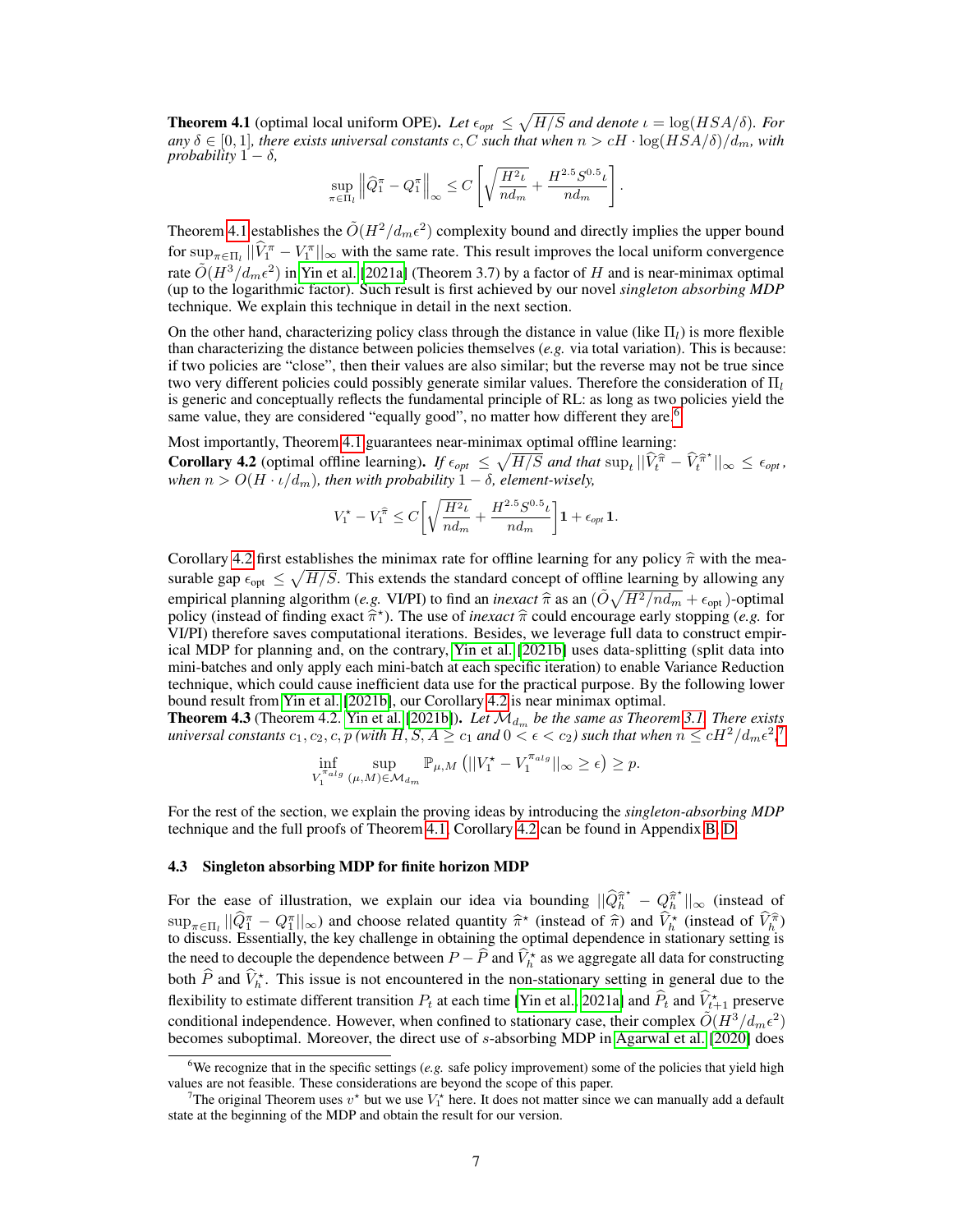**Theorem 4.1** (optimal local uniform OPE). Let  $\epsilon_{opt} \leq \sqrt{H/S}$  and denote  $\iota = \log(HSA/\delta)$ . For  $a_n y \delta \in [0,1]$ , there exists universal constants c, C such that when  $n > cH \cdot \log(HSA/\delta)/d_m$ , with *probability*  $1 - \delta$ ,

$$
\sup_{\pi \in \Pi_l} \left\| \widehat{Q}_1^{\pi} - Q_1^{\pi} \right\|_{\infty} \le C \left[ \sqrt{\frac{H^2 \iota}{nd_m}} + \frac{H^{2.5} S^{0.5} \iota}{nd_m} \right].
$$

Theorem [4.1](#page-5-0) establishes the  $\tilde{O}(H^2/d_m\epsilon^2)$  complexity bound and directly implies the upper bound for  $\sup_{\pi \in \Pi_l} ||\hat{V}_1^{\pi} - V_1^{\pi}||_{\infty}$  with the same rate. This result improves the local uniform convergence rate  $\tilde{O}(H^3/d_m\epsilon^2)$  in [Yin et al.](#page-13-3) [\[2021a\]](#page-13-3) (Theorem 3.7) by a factor of H and is near-minimax optimal (up to the logarithmic factor). Such result is first achieved by our novel *singleton absorbing MDP* technique. We explain this technique in detail in the next section.

On the other hand, characterizing policy class through the distance in value (like  $\Pi_l$ ) is more flexible than characterizing the distance between policies themselves (*e.g.* via total variation). This is because: if two policies are "close", then their values are also similar; but the reverse may not be true since two very different policies could possibly generate similar values. Therefore the consideration of  $\Pi_l$ is generic and conceptually reflects the fundamental principle of RL: as long as two policies yield the same value, they are considered "equally good", no matter how different they are.<sup>[6](#page-6-1)</sup>

Most importantly, Theorem [4.1](#page-5-0) guarantees near-minimax optimal offline learning:

<span id="page-6-0"></span>**Corollary 4.2** (optimal offline learning). If  $\epsilon_{opt} \leq \sqrt{H/S}$  and that  $\sup_t ||\hat{V}_t^{\hat{\pi}} - \hat{V}_t^{\hat{\pi}^*}||_{\infty} \leq \epsilon_{opt}$ , *when*  $n > O(H \cdot \iota/d_m)$ , then with probability  $1 - \delta$ , element-wisely,

$$
V_1^\star - V_1^{\widehat{\pi}} \leq C \bigg[ \sqrt{\frac{H^2\iota}{nd_m}} + \frac{H^{2.5}S^{0.5}\iota}{nd_m} \bigg] \mathbf{1} + \epsilon_{\text{opt}} \, \mathbf{1}.
$$

Corollary [4.2](#page-6-0) first establishes the minimax rate for offline learning for any policy  $\hat{\pi}$  with the measurable gap  $\epsilon_{opt} \leq \sqrt{H/S}$ . This extends the standard concept of offline learning by allowing any empirical planning algorithm (*e.g.* VI/PI) to find an *inexact*  $\hat{\pi}$  as an  $(\tilde{O}\sqrt{H^2/nd_m} + \epsilon_{opt})$ -optimal<br>policy (instead of finding exact  $\hat{\pi}^*$ ). The use of *inexact*  $\hat{\pi}$  could encourage early stopping (*e.g* policy (instead of finding exact  $\hat{\pi}^*$ ). The use of *inexact* π could encourage early stopping (*e.g.* for VI/PI) therefore saves computational iterations. Besides, we leverage full data to construct empir-VI/PI) therefore saves computational iterations. Besides, we leverage full data to construct empirical MDP for planning and, on the contrary, [Yin et al.](#page-13-2) [\[2021b\]](#page-13-2) uses data-splitting (split data into mini-batches and only apply each mini-batch at each specific iteration) to enable Variance Reduction technique, which could cause inefficient data use for the practical purpose. By the following lower bound result from [Yin et al.](#page-13-2) [\[2021b\]](#page-13-2), our Corollary [4.2](#page-6-0) is near minimax optimal.

**Theorem 4.3** (Theorem 4.2. [Yin et al.](#page-13-2) [\[2021b\]](#page-13-2)). Let  $\mathcal{M}_{d_m}$  be the same as Theorem [3.1.](#page-4-1) There exists universal constants  $c_1, c_2, c, p$  *(with*  $H, S, A \ge c_1$  *and*  $0 < \epsilon < c_2$ *) such that when*  $n \le cH^2/d_m\epsilon^2$ *,*  $a$ 

$$
\inf_{V_1^{\pi_{alg}}} \sup_{(\mu,M)\in\mathcal{M}_{d_m}} \mathbb{P}_{\mu,M} \left( ||V_1^* - V_1^{\pi_{alg}}||_{\infty} \ge \epsilon \right) \ge p.
$$

For the rest of the section, we explain the proving ideas by introducing the *singleton-absorbing MDP* technique and the full proofs of Theorem [4.1,](#page-5-0) Corollary [4.2](#page-6-0) can be found in Appendix [B,](#page--1-2) [D.](#page--1-3)

#### 4.3 Singleton absorbing MDP for finite horizon MDP

For the ease of illustration, we explain our idea via bounding  $||\widehat{Q}_h^{\hat{\pi}^*} - Q_h^{\hat{\pi}^*}||_{\infty}$  (instead of  $\sup_{\pi \in \Pi_l} ||\hat{Q}_l^{\pi} - Q_l^{\pi}||_{\infty}$  and choose related quantity  $\hat{\pi}^*$  (instead of  $\hat{\pi}$ ) and  $\hat{V}_h^*$  (instead of  $\hat{V}_h^{\hat{\pi}}$ ) and  $\hat{V}_h^*$  (instead of  $\hat{V}_h^{\hat{\pi}}$ ) to discuss. Essentially, the key challenge in obtaining the optimal dependence in stationary setting is the need to decouple the dependence between  $P - \widehat{P}$  and  $\widehat{V}_h^*$  as we aggregate all data for constructing both  $\widehat{P}$  and  $\widehat{V}_h^*$ . This issue is not encountered in the non-stationary setting in general due to the flexibility to estimate different transition  $P_t$  at each time [\[Yin et al., 2021a\]](#page-13-3) and  $\widehat{P}_t$  and  $\widehat{V}_{t+1}^*$  preserve conditional independence. However, when confined to stationary case, their complex  $\tilde{O}(H^3/d_m\epsilon^2)$ becomes suboptimal. Moreover, the direct use of s-absorbing MDP in [Agarwal et al.](#page-10-9) [\[2020\]](#page-10-9) does

<span id="page-6-1"></span><sup>&</sup>lt;sup>6</sup>We recognize that in the specific settings  $(e.g.$  safe policy improvement) some of the policies that yield high values are not feasible. These considerations are beyond the scope of this paper.

<span id="page-6-2"></span><sup>&</sup>lt;sup>7</sup>The original Theorem uses  $v^*$  but we use  $V_1^*$  here. It does not matter since we can manually add a default state at the beginning of the MDP and obtain the result for our version.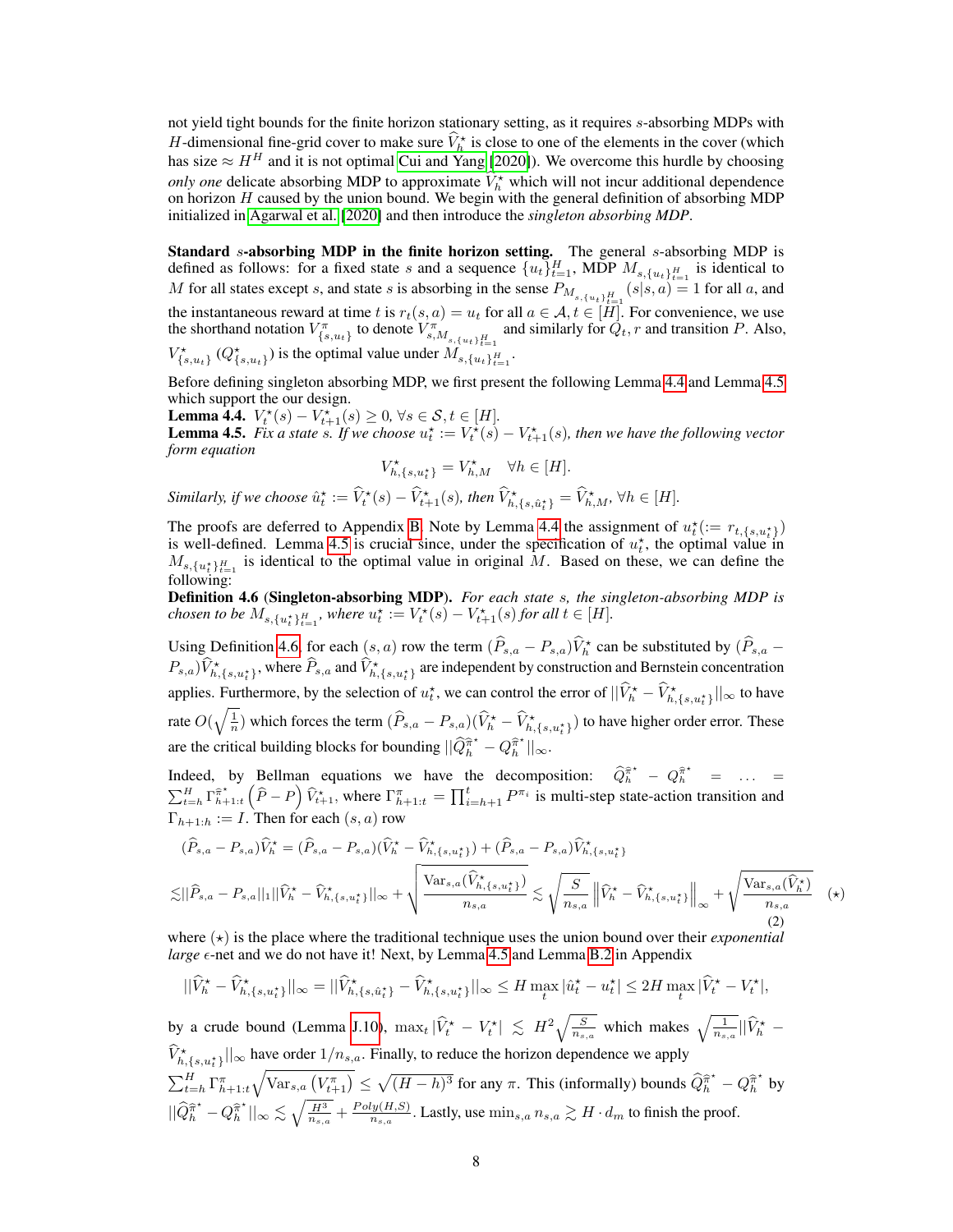not yield tight bounds for the finite horizon stationary setting, as it requires s-absorbing MDPs with H-dimensional fine-grid cover to make sure  $\hat{V}_h^*$  is close to one of the elements in the cover (which has size  $\approx H^H$  and it is not optimal [Cui and Yang](#page-10-10) [\[2020\]](#page-10-10)). We overcome this hurdle by choosing *only one* delicate absorbing MDP to approximate  $\hat{V}_h^*$  which will not incur additional dependence on horizon  $H$  caused by the union bound. We begin with the general definition of absorbing MDP initialized in [Agarwal et al.](#page-10-9) [\[2020\]](#page-10-9) and then introduce the *singleton absorbing MDP*.

Standard s-absorbing MDP in the finite horizon setting. The general s-absorbing MDP is defined as follows: for a fixed state s and a sequence  $\{u_t\}_{t=1}^H$ , MDP  $M_{s,\{u_t\}_{t=1}^H}$  is identical to M for all states except s, and state s is absorbing in the sense  $P_{M_{s,\{u_t\}_{t=1}^H}}(s|s,a) = 1$  for all a, and the instantaneous reward at time t is  $r_t(s, a) = u_t$  for all  $a \in \mathcal{A}$ ,  $t \in [H]$ . For convenience, we use the shorthand notation  $V_{\{s,u_t\}}^{\pi}$  to denote  $V_{s,M_{s,\{u_t\}_{t=1}}^{\pi}}^{\pi'}$  and similarly for  $\dot{Q}_t$ , r and transition P. Also,

 $V_{\{s,u_t\}}^{\star}$  ( $Q_{\{s,u_t\}}^{\star}$ ) is the optimal value under  $M_{s,\{u_t\}_{t=1}^H}$ .

Before defining singleton absorbing MDP, we first present the following Lemma [4.4](#page-7-0) and Lemma [4.5](#page-7-1) which support the our design.

<span id="page-7-0"></span>**Lemma 4.4.**  $V_t^*(s) - V_{t+1}^*(s) \ge 0, \forall s \in S, t \in [H].$ 

<span id="page-7-1"></span>**Lemma 4.5.** Fix a state s. If we choose  $u_t^* := V_t^*(s) - V_{t+1}(s)$ , then we have the following vector *form equation*

$$
V^\star_{h,\{s,u^\star_t\}}=V^\star_{h,M}\quad \forall h\in[H].
$$

*Similarly, if we choose*  $\hat{u}_t^* := \hat{V}_t^*(s) - \hat{V}_{t+1}^*(s)$ *, then*  $\hat{V}_{h,\{s,\hat{u}_t^*\}}^* = \hat{V}_{h,M}^*$ ,  $\forall h \in [H]$ *.* 

The proofs are deferred to Appendix [B.](#page--1-2) Note by Lemma [4.4](#page-7-0) the assignment of  $u_t^{\star} := r_{t,\{s,u_t^{\star}\}}$ is well-defined. Lemma [4.5](#page-7-1) is crucial since, under the specification of  $u_t^*$ , the optimal value in  $M_{s,\{u_t^*\}_{t=1}^H}$  is identical to the optimal value in original M. Based on these, we can define the following:

<span id="page-7-2"></span>Definition 4.6 (Singleton-absorbing MDP). *For each state* s*, the singleton-absorbing MDP is chosen to be*  $M_{s, \{u_t^{\star}\}_{t=1}^H}$ , where  $u_t^{\star} := V_t^{\star}(s) - V_{t+1}^{\star}(s)$  for all  $t \in [H]$ .

Using Definition [4.6,](#page-7-2) for each  $(s, a)$  row the term  $(\widehat{P}_{s,a} - P_{s,a})\widehat{V}_h^*$  can be substituted by  $(\widehat{P}_{s,a} - P_{s,a})$  $P_{s,a}$ ) $\hat{V}^{\star}_{h,\{s,u^{\star}_{t}\}}$ , where  $\hat{P}_{s,a}$  and  $\hat{V}^{\star}_{h,\{s,u^{\star}_{t}\}}$  are independent by construction and Bernstein concentration applies. Furthermore, by the selection of  $u_t^*$ , we can control the error of  $||\hat{V}_h^* - \hat{V}_{h,\{s,u_t^*\}}^*||_{\infty}$  to have rate  $O(\sqrt{\frac{1}{n}})$  which forces the term  $(\widehat{P}_{s,a} - P_{s,a})(\widehat{V}_h^{\star} - \widehat{V}_{h,\{s,u_t^{\star}\}}^{\star})$  to have higher order error. These are the critical building blocks for bounding  $||\widehat{Q}_{h}^{\widehat{\pi}^{\star}} - Q_{h}^{\widehat{\pi}^{\star}}||_{\infty}$ .

Indeed, by Bellman equations we have the decomposition:  $\hat{Q}_h^{\hat{\pi}^*} - Q_h^{\hat{\pi}^*} = \dots =$  $\sum_{t=h}^H \Gamma^{\hat{\pi}^*}_{h+1:t}$   $(\hat{P} - P)$   $\hat{V}^*_{t+1}$ , where  $\Gamma^{\pi}_{h+1:t} = \prod_{i=h+1}^t P^{\pi_i}$  is multi-step state-action transition and  $\Gamma_{h+1:h} := I$ . Then for each  $(s, a)$  row

$$
(\widehat{P}_{s,a} - P_{s,a})\widehat{V}_h^{\star} = (\widehat{P}_{s,a} - P_{s,a})(\widehat{V}_h^{\star} - \widehat{V}_{h,\{s,u_t^{\star}\}}^{\star}) + (\widehat{P}_{s,a} - P_{s,a})\widehat{V}_{h,\{s,u_t^{\star}\}}^{\star}
$$

$$
\lesssim ||\widehat{P}_{s,a} - P_{s,a}||_1 ||\widehat{V}_h^{\star} - \widehat{V}_{h,\{s,u_t^{\star}\}}^{\star}||_{\infty} + \sqrt{\frac{\text{Var}_{s,a}(\widehat{V}_{h,\{s,u_t^{\star}\}}^{\star})}{n_{s,a}}} \lesssim \sqrt{\frac{S}{n_{s,a}}} ||\widehat{V}_h^{\star} - \widehat{V}_{h,\{s,u_t^{\star}\}}^{\star}||_{\infty} + \sqrt{\frac{\text{Var}_{s,a}(\widehat{V}_h^{\star})}{n_{s,a}}} \tag{2}
$$

where  $(\star)$  is the place where the traditional technique uses the union bound over their *exponential large*  $\epsilon$ -net and we do not have it! Next, by Lemma [4.5](#page-7-1) and Lemma [B.2](#page--1-4) in Appendix

$$
||\widehat{V}_h^{\star} - \widehat{V}_{h,\{s,u_t^{\star}\}}^{\star}||_{\infty} = ||\widehat{V}_{h,\{s,\hat{u}_t^{\star}\}}^{\star} - \widehat{V}_{h,\{s,u_t^{\star}\}}^{\star}||_{\infty} \leq H \max_{t} |\widehat{u}_t^{\star} - u_t^{\star}| \leq 2H \max_{t} |\widehat{V}_t^{\star} - V_t^{\star}|,
$$

by a crude bound (Lemma [J.10\)](#page--1-5),  $\max_t |\hat{V}_t^* - V_t^*| \leq H^2 \sqrt{\frac{S}{n_{s,a}}}$  which makes  $\sqrt{\frac{1}{n_{s,a}}} ||\hat{V}_h^* \widehat{V}_{h,\{s,u_t^*\}}^{\star}||_{\infty}$  have order  $1/n_{s,a}$ . Finally, to reduce the horizon dependence we apply  $\sum_{t=h}^H \Gamma^{\pi}_{h+1:t} \sqrt{\text{Var}_{s,a} (V^{\pi}_{t+1})} \leq \sqrt{(H-h)^3}$  for any  $\pi$ . This (informally) bounds  $\widehat{Q}^{\widehat{\pi}^{\star}}_h - Q^{\widehat{\pi}^{\star}}_h$  by  $||\widehat{Q}_{h}^{\widehat{\pi}^{\star}} - Q_{h}^{\widehat{\pi}^{\star}}||_{\infty} \lesssim \sqrt{\frac{H^3}{n_{s,a}}} + \frac{Poly(H,S)}{n_{s,a}}$  $\frac{lg(H,S)}{ns_{,a}}$ . Lastly, use  $\min_{s,a} n_{s,a} \gtrsim H \cdot d_m$  to finish the proof.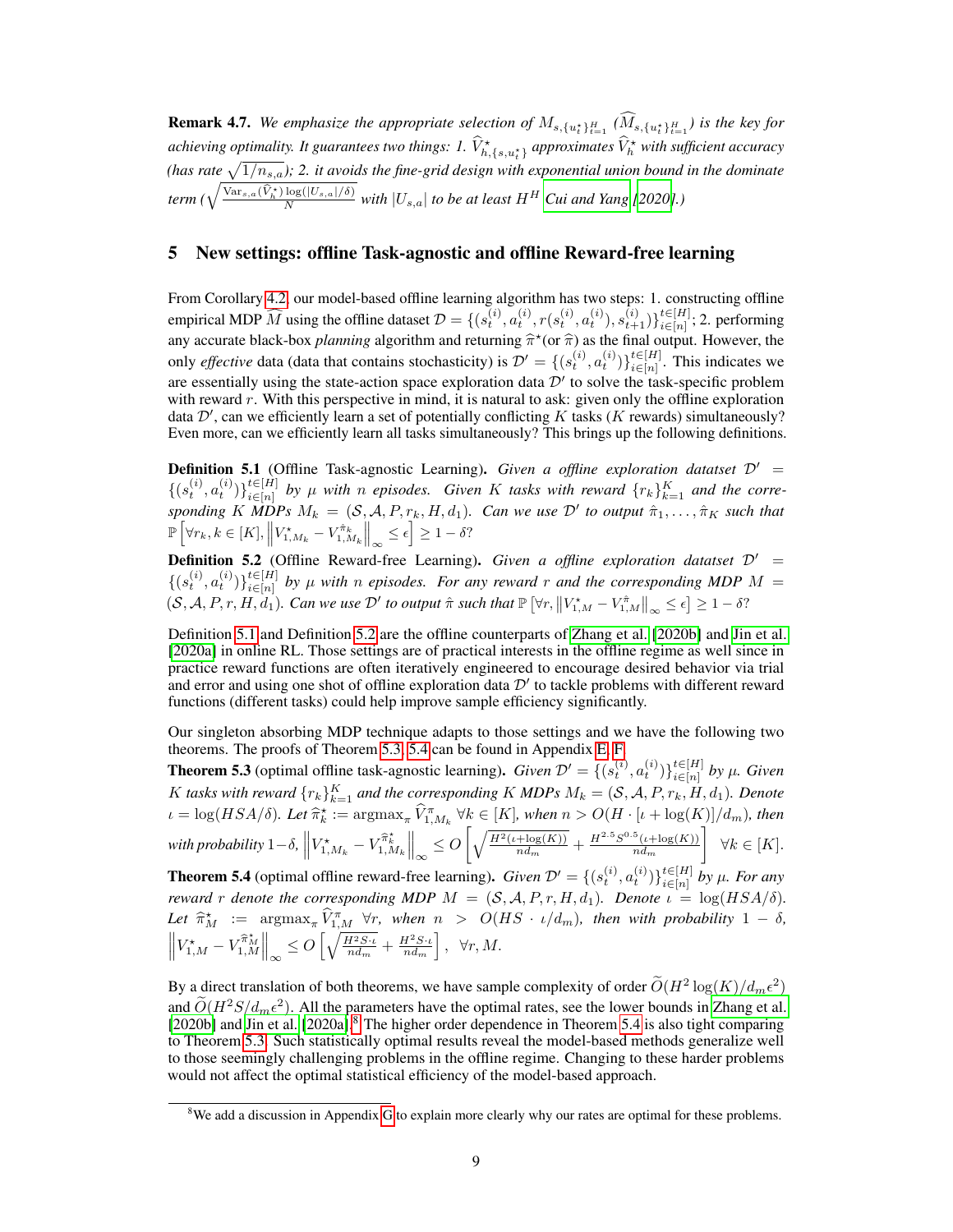**Remark 4.7.** We emphasize the appropriate selection of  $M_{s,\{u_t^*\}_{t=1}^H}$  ( $M_{s,\{u_t^*\}_{t=1}^H}$ ) is the key for achieving optimality. It guarantees two things: 1.  $\widehat{V}^\star_{h,\{s,u^{\star}_t\}}$  approximates  $\widehat{V}^\star_h$  with sufficient accuracy (has rate  $\sqrt{1/n_{s,a}}$ ); 2. it avoids the fine-grid design with exponential union bound in the dominate  $\mathit{term}~(\sqrt{\frac{\text{Var}_{s,a}(\widehat{V}_h^\star) \log(|U_{s,a}|/\delta)}{N}})$  $\frac{\log(|U_{s,a}|/6)}{N}$  with  $|U_{s,a}|$  to be at least  $H^H$  [Cui and Yang](#page-10-10)<sup></sup> [\[2020\]](#page-10-10).)

## 5 New settings: offline Task-agnostic and offline Reward-free learning

From Corollary [4.2,](#page-6-0) our model-based offline learning algorithm has two steps: 1. constructing offline empirical MDP  $\widehat{M}$  using the offline dataset  $\mathcal{D} = \{(s_t^{(i)}, a_t^{(i)}, r(s_t^{(i)}, a_t^{(i)}), s_{t+1}^{(i)})\}_{i \in [n]}^{t \in [H]}$  $\sum_{i\in[n]}^{i\in[n]}$ ; 2. performing any accurate black-box *planning* algorithm and returning  $\hat{\pi}^*(\text{or } \hat{\pi})$  as the final output. However, the only *effective* data (data that contains stochasticity) is  $\mathcal{D}' = \{(s_t^{(i)}, a_t^{(i)})\}_{i \in [n]}^{t \in [H]}$ . This indi  $\sum_{i\in[n]}^{i\in[n]}$ . This indicates we are essentially using the state-action space exploration data  $\mathcal{D}'$  to solve the task-specific problem with reward  $r$ . With this perspective in mind, it is natural to ask: given only the offline exploration data  $\mathcal{D}'$ , can we efficiently learn a set of potentially conflicting K tasks (K rewards) simultaneously? Even more, can we efficiently learn all tasks simultaneously? This brings up the following definitions.

<span id="page-8-2"></span>**Definition 5.1** (Offline Task-agnostic Learning). *Given a offline exploration datatset*  $\mathcal{D}'$  =  $\{(s_t^{(i)}, a_t^{(i)})\}_{i \in [n]}^{t \in [H]}$ *t*∈[*n*] by  $\mu$  with n episodes. Given K tasks with reward  $\{r_k\}_{k=1}^K$  and the corre*sponding* K MDPs  $M_k = (S, \mathcal{A}, P, r_k, H, d_1)$ . Can we use  $\mathcal{D}'$  to output  $\hat{\pi}_1, \ldots, \hat{\pi}_K$  such that  $\mathbb{P}\left[\forall r_k, k \in [K], \left\|V_{1,M_k}^* - V_{1,M_k}^{\hat{\pi}_k}\right\|_{\infty} \leq \epsilon\right] \geq 1 - \delta$ ?

<span id="page-8-3"></span>**Definition 5.2** (Offline Reward-free Learning). *Given a offline exploration datatset*  $D' =$  $\{(s_t^{(i)}, a_t^{(i)})\}_{i \in [n]}^{t \in [H]}$ i∈[n] *by* µ *with* n *episodes. For any reward* r *and the corresponding MDP* M =  $(S, \mathcal{A}, P, r, H, d_1)$ . Can we use  $\mathcal{D}'$  to output  $\hat{\pi}$  such that  $\mathbb{P}[\forall r, \|V_{1,M}^* - V_{1,M}^*\|_{\infty} \leq \epsilon] \geq 1 - \delta$ ?

Definition [5.1](#page-8-2) and Definition [5.2](#page-8-3) are the offline counterparts of [Zhang et al.](#page-13-6) [\[2020b\]](#page-13-6) and [Jin et al.](#page-11-10) [\[2020a\]](#page-11-10) in online RL. Those settings are of practical interests in the offline regime as well since in practice reward functions are often iteratively engineered to encourage desired behavior via trial and error and using one shot of offline exploration data  $\mathcal{D}'$  to tackle problems with different reward functions (different tasks) could help improve sample efficiency significantly.

Our singleton absorbing MDP technique adapts to those settings and we have the following two theorems. The proofs of Theorem [5.3,](#page-8-0) [5.4](#page-8-1) can be found in Appendix [E,](#page--1-6) [F.](#page--1-7)

<span id="page-8-0"></span>**Theorem 5.3** (optimal offline task-agnostic learning). *Given*  $\mathcal{D}' = \{(s_t^{(i)}, a_t^{(i)})\}_{i \in [n]}^{t \in [H]}$  $\prod_{i \in [n]}$  by  $\mu$ *. Given* K tasks with reward  $\{r_k\}_{k=1}^K$  and the corresponding K MDPs  $M_k = (\mathcal{S}, \mathcal{A}, P, r_k, H, d_1)$ *. Denote*  $\iota = \log(HSA/\delta)$ *. Let*  $\widehat{\pi}_k^{\star} := \arg \max_{\pi} \widehat{V}_{1,M_k}^{\pi} \ \forall k \in [K]$ *, when*  $n > O(H \cdot [\iota + \log(K)]/d_m)$ *, then*  $\left\| V_{1,M_k}^\star - V_{1,M_k}^{\widehat{\pi}^\star_k} \right\|_\infty \leq O\left[ \sqrt{\frac{H^2(\iota+\log(K))}{nd_m}} \right]$  $\frac{(\mu + \log(K))}{n d_m} + \frac{H^{2.5} S^{0.5}(\iota + \log(K))}{n d_m}$  $n d_m$  $\Big\} \forall k \in [K].$ **Theorem 5.4** (optimal offline reward-free learning). *Given*  $\mathcal{D}' = \{(s_t^{(i)}, a_t^{(i)})\}_{i \in [n]}^{t \in [H]}$  $\prod_{i \in [n]}^{\iota \in [n]}$  by  $\mu$ *. For any* 

<span id="page-8-1"></span>*reward* r *denote the corresponding MDP*  $M = (S, A, P, r, H, d_1)$ *. Denote*  $\iota = \log(HSA/\delta)$ *.* Let  $\widehat{\pi}_M^{\star} := \underset{\widehat{\pi}^{\star} \parallel \pi}{\arg \max_{\pi} \widehat{V}_{1,M}^{\pi} \forall r, \text{ when } n > O(HS \cdot \iota/d_m), \text{ then with probability } 1 - \delta,$  $\left\| V_{1,M}^* - V_{1,M}^{\hat{\pi}_M^*} \right\|_{\infty} \leq O\left[ \sqrt{\frac{H^2 S \cdot \iota}{n d_m}} + \frac{H^2 S \cdot \iota}{n d_m} \right], \ \ \forall r, M.$ 

By a direct translation of both theorems, we have sample complexity of order  $\tilde{O}(H^2 \log(K)/d_m \epsilon^2)$ and  $\tilde{O}(H^2S/d_m\epsilon^2)$ . All the parameters have the optimal rates, see the lower bounds in [Zhang et al.](#page-13-6)<br>[2020] and line to al. [2020]  $\delta$  The higher order dependence in Theorem 5.4 is also tight comparison [\[2020b\]](#page-13-6) and [Jin et al.](#page-11-10) [\[2020a\]](#page-11-10).<sup>[8](#page-8-4)</sup> The higher order dependence in Theorem [5.4](#page-8-1) is also tight comparing to Theorem [5.3.](#page-8-0) Such statistically optimal results reveal the model-based methods generalize well to those seemingly challenging problems in the offline regime. Changing to these harder problems would not affect the optimal statistical efficiency of the model-based approach.

<span id="page-8-4"></span><sup>&</sup>lt;sup>8</sup>We add a discussion in Appendix [G](#page--1-1) to explain more clearly why our rates are optimal for these problems.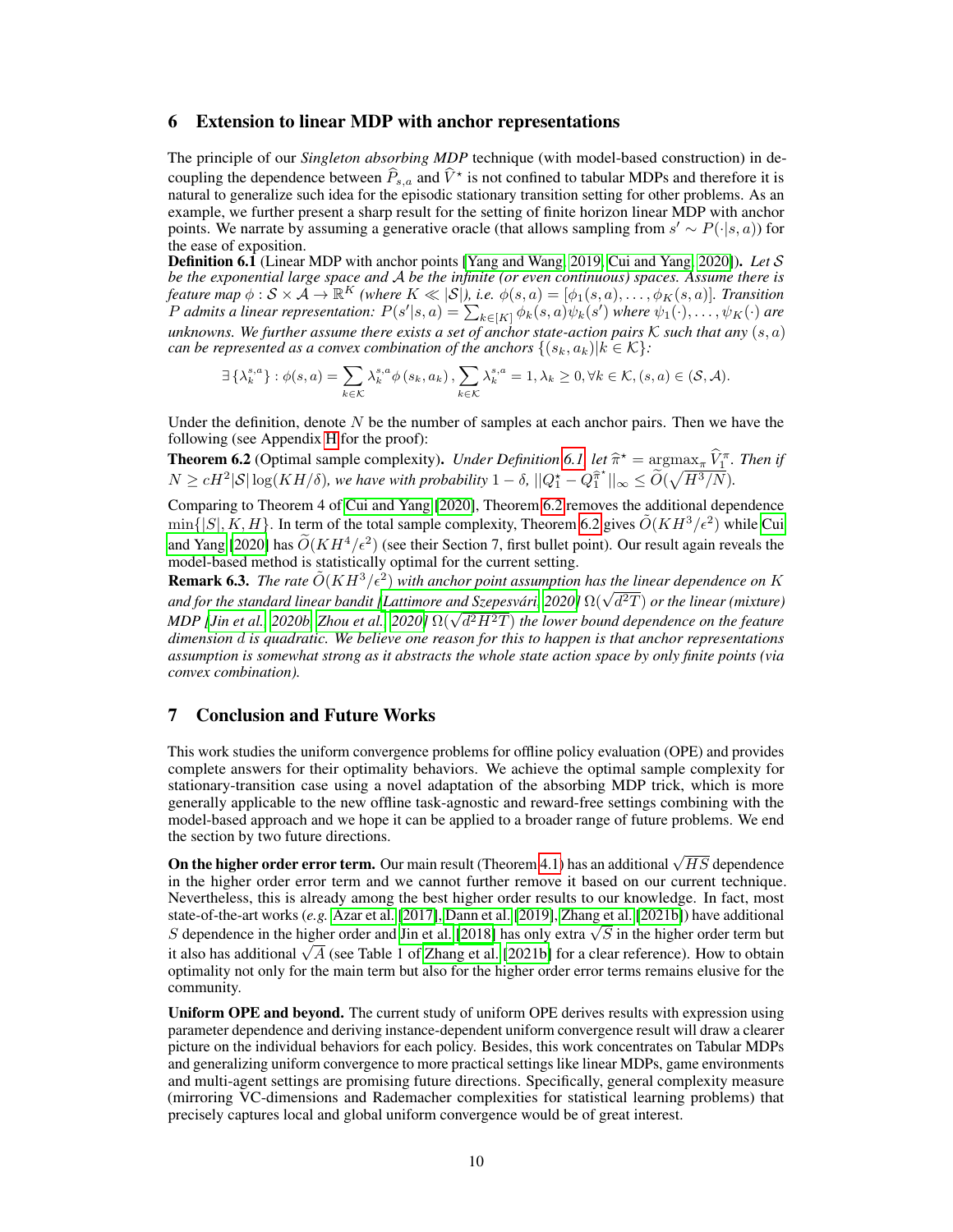## 6 Extension to linear MDP with anchor representations

The principle of our *Singleton absorbing MDP* technique (with model-based construction) in decoupling the dependence between  $\widehat{P}_{s,a}$  and  $\widehat{V}^*$  is not confined to tabular MDPs and therefore it is natural to generalize such idea for the episodic stationary transition setting for other problems. As an example, we further present a sharp result for the setting of finite horizon linear MDP with anchor points. We narrate by assuming a generative oracle (that allows sampling from  $s' \sim P(\cdot|s, a)$ ) for the ease of exposition.

<span id="page-9-0"></span>Definition 6.1 (Linear MDP with anchor points [\[Yang and Wang, 2019,](#page-12-16) [Cui and Yang, 2020\]](#page-10-10)). *Let* S *be the exponential large space and* A *be the infinite (or even continuous) spaces. Assume there is feature map*  $\phi: \mathcal{S} \times \mathcal{A} \to \mathbb{R}^K$  (where  $K \ll |\mathcal{S}|$ ), i.e.  $\phi(s, a) = [\phi_1(s, a), \dots, \phi_K(s, a)]$ . Transition P admits a linear representation:  $P(s'|s, a) = \sum_{k \in [K]} \phi_k(s, a) \psi_k(s')$  where  $\psi_1(\cdot), \ldots, \psi_K(\cdot)$  are *unknowns. We further assume there exists a set of anchor state-action pairs* K *such that any* (s, a) *can be represented as a convex combination of the anchors*  $\{(s_k, a_k)|k \in \mathcal{K}\}$ :

$$
\exists \left\{\lambda_k^{s,a}\right\} : \phi(s,a) = \sum_{k \in \mathcal{K}} \lambda_k^{s,a} \phi(s_k, a_k), \sum_{k \in \mathcal{K}} \lambda_k^{s,a} = 1, \lambda_k \geq 0, \forall k \in \mathcal{K}, (s,a) \in (\mathcal{S}, \mathcal{A}).
$$

Under the definition, denote  $N$  be the number of samples at each anchor pairs. Then we have the following (see Appendix [H](#page--1-8) for the proof):

<span id="page-9-1"></span>**Theorem 6.2** (Optimal sample complexity). *Under Definition* [6.1,](#page-9-0) *let*  $\hat{\pi}^* = \arg \max_{\pi} \hat{V}_{1}^{\pi}$ . *Then if*  $N \ge \pi I^{(2)}$  Cl Let  $(KII/S)$  and hence with angle biling 1.  $S \cup \Omega^* = \widehat{O}(\sqrt{II^{3}/N})$  $N \ge cH^2|\mathcal{S}| \log(KH/\delta)$ , we have with probability  $1 - \delta$ ,  $||Q_1^* - Q_1^{\hat{\pi}^*}||_{\infty} \le \widetilde{O}(\sqrt{H^3/N})$ .

Comparing to Theorem 4 of [Cui and Yang](#page-10-10) [\[2020\]](#page-10-10), Theorem [6.2](#page-9-1) removes the additional dependence  $\min\{|S|, K, H\}$ . In term of the total sample complexity, Theorem [6.2](#page-9-1) gives  $\tilde{O}(KH^3/\epsilon^2)$  while [Cui](#page-10-10) [and Yang](#page-10-10) [\[2020\]](#page-10-10) has  $\widetilde{O}(KH^4/\epsilon^2)$  (see their Section 7, first bullet point). Our result again reveals the model-based method is statistically optimal for the current setting.

**Remark 6.3.** The rate  $\tilde{O}(KH^3/\epsilon^2)$  with anchor point assumption has the linear dependence on K **Remark 6.5.** The rate  $O(K H^2 / \epsilon)$  with anchor point assumption has the tinear aependence on K<br>and for the standard linear bandit [\[Lattimore and Szepesvári, 2020\]](#page-11-15) Ω( $\sqrt{d^2T}$ ) or the linear (mixture) *ana for the standard tinear bandit [Lattimore and Szepesvart, 2020] st*(√ *a*−1) *or the tinear (mixture)*<br>MDP [\[Jin et al., 2020b,](#page-11-16) [Zhou et al., 2020\]](#page-13-7) Ω(√d<sup>2</sup>H<sup>2</sup>T) the lower bound dependence on the feature *dimension* d *is quadratic. We believe one reason for this to happen is that anchor representations assumption is somewhat strong as it abstracts the whole state action space by only finite points (via convex combination).*

## 7 Conclusion and Future Works

This work studies the uniform convergence problems for offline policy evaluation (OPE) and provides complete answers for their optimality behaviors. We achieve the optimal sample complexity for stationary-transition case using a novel adaptation of the absorbing MDP trick, which is more generally applicable to the new offline task-agnostic and reward-free settings combining with the model-based approach and we hope it can be applied to a broader range of future problems. We end the section by two future directions.

On the higher order error term. Our main result (Theorem [4.1\)](#page-5-0) has an additional  $\sqrt{HS}$  dependence in the higher order error term and we cannot further remove it based on our current technique. Nevertheless, this is already among the best higher order results to our knowledge. In fact, most state-of-the-art works (*e.g.* [Azar et al.](#page-10-7) [\[2017\]](#page-10-7), [Dann et al.](#page-10-13) [\[2019\]](#page-10-13), [Zhang et al.](#page-13-8) [\[2021b\]](#page-13-8)) have additional state-of-the-art works (*e.g. Azar* et al. [2017], Dann et al. [2019], Zhang et al. [20216]) have additional S dependence in the higher order and [Jin et al.](#page-11-17) [\[2018\]](#page-11-17) has only extra  $\sqrt{S}$  in the higher order term but S dependence in the higher order and Jin et al. [2018] has only extra  $\sqrt{s}$  in the higher order term but it also has additional  $\sqrt{A}$  (see Table 1 of [Zhang et al.](#page-13-8) [\[2021b\]](#page-13-8) for a clear reference). How to obtain optimality not only for the main term but also for the higher order error terms remains elusive for the community.

Uniform OPE and beyond. The current study of uniform OPE derives results with expression using parameter dependence and deriving instance-dependent uniform convergence result will draw a clearer picture on the individual behaviors for each policy. Besides, this work concentrates on Tabular MDPs and generalizing uniform convergence to more practical settings like linear MDPs, game environments and multi-agent settings are promising future directions. Specifically, general complexity measure (mirroring VC-dimensions and Rademacher complexities for statistical learning problems) that precisely captures local and global uniform convergence would be of great interest.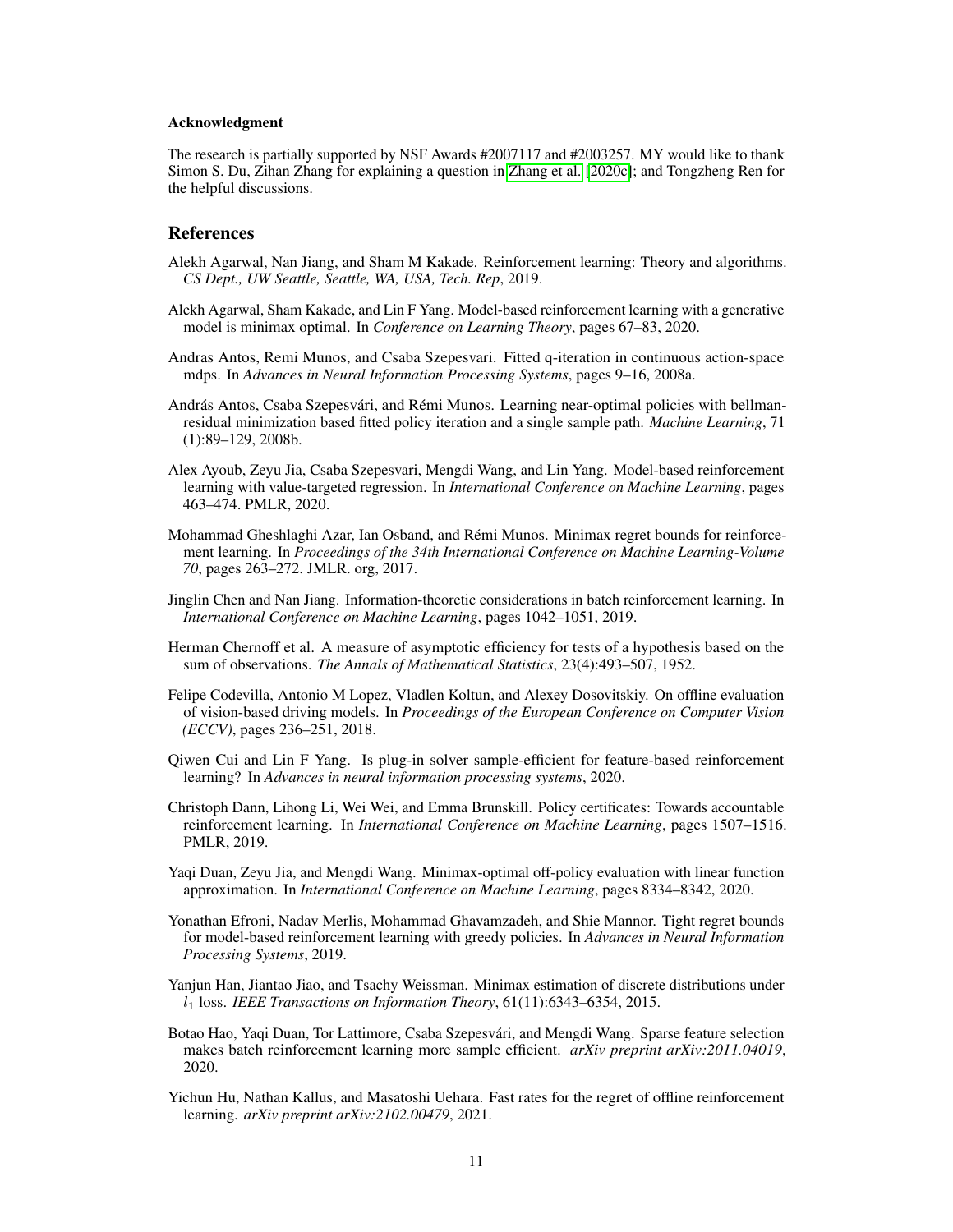## Acknowledgment

The research is partially supported by NSF Awards #2007117 and #2003257. MY would like to thank Simon S. Du, Zihan Zhang for explaining a question in [Zhang et al.](#page-13-5) [\[2020c\]](#page-13-5); and Tongzheng Ren for the helpful discussions.

## References

- Alekh Agarwal, Nan Jiang, and Sham M Kakade. Reinforcement learning: Theory and algorithms. *CS Dept., UW Seattle, Seattle, WA, USA, Tech. Rep*, 2019.
- <span id="page-10-9"></span>Alekh Agarwal, Sham Kakade, and Lin F Yang. Model-based reinforcement learning with a generative model is minimax optimal. In *Conference on Learning Theory*, pages 67–83, 2020.
- <span id="page-10-5"></span>Andras Antos, Remi Munos, and Csaba Szepesvari. Fitted q-iteration in continuous action-space mdps. In *Advances in Neural Information Processing Systems*, pages 9–16, 2008a.
- <span id="page-10-6"></span>András Antos, Csaba Szepesvári, and Rémi Munos. Learning near-optimal policies with bellmanresidual minimization based fitted policy iteration and a single sample path. *Machine Learning*, 71 (1):89–129, 2008b.
- <span id="page-10-11"></span>Alex Ayoub, Zeyu Jia, Csaba Szepesvari, Mengdi Wang, and Lin Yang. Model-based reinforcement learning with value-targeted regression. In *International Conference on Machine Learning*, pages 463–474. PMLR, 2020.
- <span id="page-10-7"></span>Mohammad Gheshlaghi Azar, Ian Osband, and Rémi Munos. Minimax regret bounds for reinforcement learning. In *Proceedings of the 34th International Conference on Machine Learning-Volume 70*, pages 263–272. JMLR. org, 2017.
- <span id="page-10-2"></span>Jinglin Chen and Nan Jiang. Information-theoretic considerations in batch reinforcement learning. In *International Conference on Machine Learning*, pages 1042–1051, 2019.
- Herman Chernoff et al. A measure of asymptotic efficiency for tests of a hypothesis based on the sum of observations. *The Annals of Mathematical Statistics*, 23(4):493–507, 1952.
- <span id="page-10-0"></span>Felipe Codevilla, Antonio M Lopez, Vladlen Koltun, and Alexey Dosovitskiy. On offline evaluation of vision-based driving models. In *Proceedings of the European Conference on Computer Vision (ECCV)*, pages 236–251, 2018.
- <span id="page-10-10"></span>Qiwen Cui and Lin F Yang. Is plug-in solver sample-efficient for feature-based reinforcement learning? In *Advances in neural information processing systems*, 2020.
- <span id="page-10-13"></span>Christoph Dann, Lihong Li, Wei Wei, and Emma Brunskill. Policy certificates: Towards accountable reinforcement learning. In *International Conference on Machine Learning*, pages 1507–1516. PMLR, 2019.
- <span id="page-10-1"></span>Yaqi Duan, Zeyu Jia, and Mengdi Wang. Minimax-optimal off-policy evaluation with linear function approximation. In *International Conference on Machine Learning*, pages 8334–8342, 2020.
- <span id="page-10-8"></span>Yonathan Efroni, Nadav Merlis, Mohammad Ghavamzadeh, and Shie Mannor. Tight regret bounds for model-based reinforcement learning with greedy policies. In *Advances in Neural Information Processing Systems*, 2019.
- <span id="page-10-12"></span>Yanjun Han, Jiantao Jiao, and Tsachy Weissman. Minimax estimation of discrete distributions under l<sup>1</sup> loss. *IEEE Transactions on Information Theory*, 61(11):6343–6354, 2015.
- <span id="page-10-3"></span>Botao Hao, Yaqi Duan, Tor Lattimore, Csaba Szepesvári, and Mengdi Wang. Sparse feature selection makes batch reinforcement learning more sample efficient. *arXiv preprint arXiv:2011.04019*, 2020.
- <span id="page-10-4"></span>Yichun Hu, Nathan Kallus, and Masatoshi Uehara. Fast rates for the regret of offline reinforcement learning. *arXiv preprint arXiv:2102.00479*, 2021.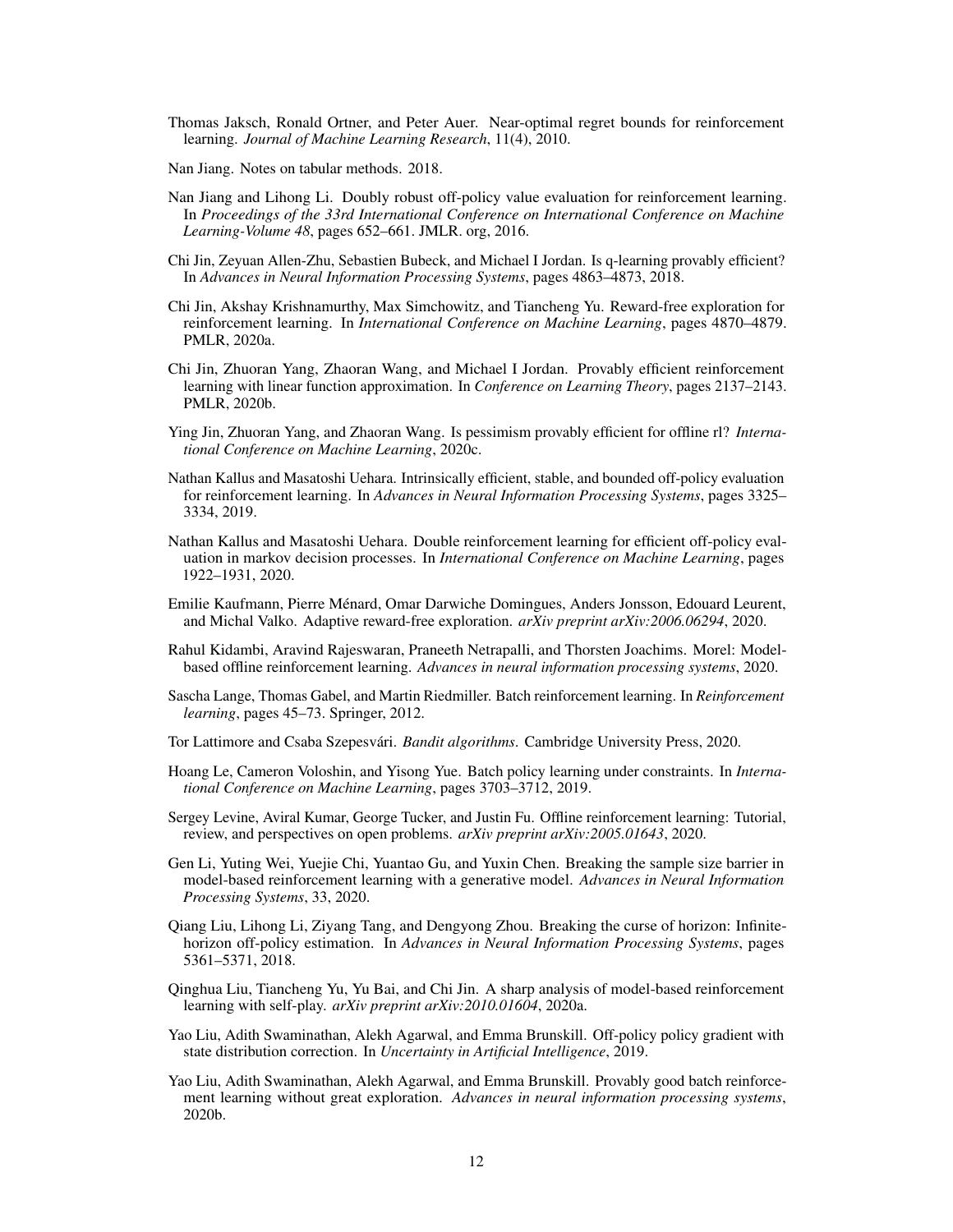<span id="page-11-12"></span>Thomas Jaksch, Ronald Ortner, and Peter Auer. Near-optimal regret bounds for reinforcement learning. *Journal of Machine Learning Research*, 11(4), 2010.

Nan Jiang. Notes on tabular methods. 2018.

- <span id="page-11-2"></span>Nan Jiang and Lihong Li. Doubly robust off-policy value evaluation for reinforcement learning. In *Proceedings of the 33rd International Conference on International Conference on Machine Learning-Volume 48*, pages 652–661. JMLR. org, 2016.
- <span id="page-11-17"></span>Chi Jin, Zeyuan Allen-Zhu, Sebastien Bubeck, and Michael I Jordan. Is q-learning provably efficient? In *Advances in Neural Information Processing Systems*, pages 4863–4873, 2018.
- <span id="page-11-10"></span>Chi Jin, Akshay Krishnamurthy, Max Simchowitz, and Tiancheng Yu. Reward-free exploration for reinforcement learning. In *International Conference on Machine Learning*, pages 4870–4879. PMLR, 2020a.
- <span id="page-11-16"></span>Chi Jin, Zhuoran Yang, Zhaoran Wang, and Michael I Jordan. Provably efficient reinforcement learning with linear function approximation. In *Conference on Learning Theory*, pages 2137–2143. PMLR, 2020b.
- <span id="page-11-8"></span>Ying Jin, Zhuoran Yang, and Zhaoran Wang. Is pessimism provably efficient for offline rl? *International Conference on Machine Learning*, 2020c.
- <span id="page-11-5"></span>Nathan Kallus and Masatoshi Uehara. Intrinsically efficient, stable, and bounded off-policy evaluation for reinforcement learning. In *Advances in Neural Information Processing Systems*, pages 3325– 3334, 2019.
- <span id="page-11-4"></span>Nathan Kallus and Masatoshi Uehara. Double reinforcement learning for efficient off-policy evaluation in markov decision processes. In *International Conference on Machine Learning*, pages 1922–1931, 2020.
- <span id="page-11-11"></span>Emilie Kaufmann, Pierre Ménard, Omar Darwiche Domingues, Anders Jonsson, Edouard Leurent, and Michal Valko. Adaptive reward-free exploration. *arXiv preprint arXiv:2006.06294*, 2020.
- <span id="page-11-13"></span>Rahul Kidambi, Aravind Rajeswaran, Praneeth Netrapalli, and Thorsten Joachims. Morel: Modelbased offline reinforcement learning. *Advances in neural information processing systems*, 2020.
- <span id="page-11-0"></span>Sascha Lange, Thomas Gabel, and Martin Riedmiller. Batch reinforcement learning. In *Reinforcement learning*, pages 45–73. Springer, 2012.
- <span id="page-11-15"></span>Tor Lattimore and Csaba Szepesvári. *Bandit algorithms*. Cambridge University Press, 2020.
- <span id="page-11-6"></span>Hoang Le, Cameron Voloshin, and Yisong Yue. Batch policy learning under constraints. In *International Conference on Machine Learning*, pages 3703–3712, 2019.
- <span id="page-11-1"></span>Sergey Levine, Aviral Kumar, George Tucker, and Justin Fu. Offline reinforcement learning: Tutorial, review, and perspectives on open problems. *arXiv preprint arXiv:2005.01643*, 2020.
- <span id="page-11-9"></span>Gen Li, Yuting Wei, Yuejie Chi, Yuantao Gu, and Yuxin Chen. Breaking the sample size barrier in model-based reinforcement learning with a generative model. *Advances in Neural Information Processing Systems*, 33, 2020.
- <span id="page-11-3"></span>Qiang Liu, Lihong Li, Ziyang Tang, and Dengyong Zhou. Breaking the curse of horizon: Infinitehorizon off-policy estimation. In *Advances in Neural Information Processing Systems*, pages 5361–5371, 2018.
- Qinghua Liu, Tiancheng Yu, Yu Bai, and Chi Jin. A sharp analysis of model-based reinforcement learning with self-play. *arXiv preprint arXiv:2010.01604*, 2020a.
- <span id="page-11-14"></span>Yao Liu, Adith Swaminathan, Alekh Agarwal, and Emma Brunskill. Off-policy policy gradient with state distribution correction. In *Uncertainty in Artificial Intelligence*, 2019.
- <span id="page-11-7"></span>Yao Liu, Adith Swaminathan, Alekh Agarwal, and Emma Brunskill. Provably good batch reinforcement learning without great exploration. *Advances in neural information processing systems*, 2020b.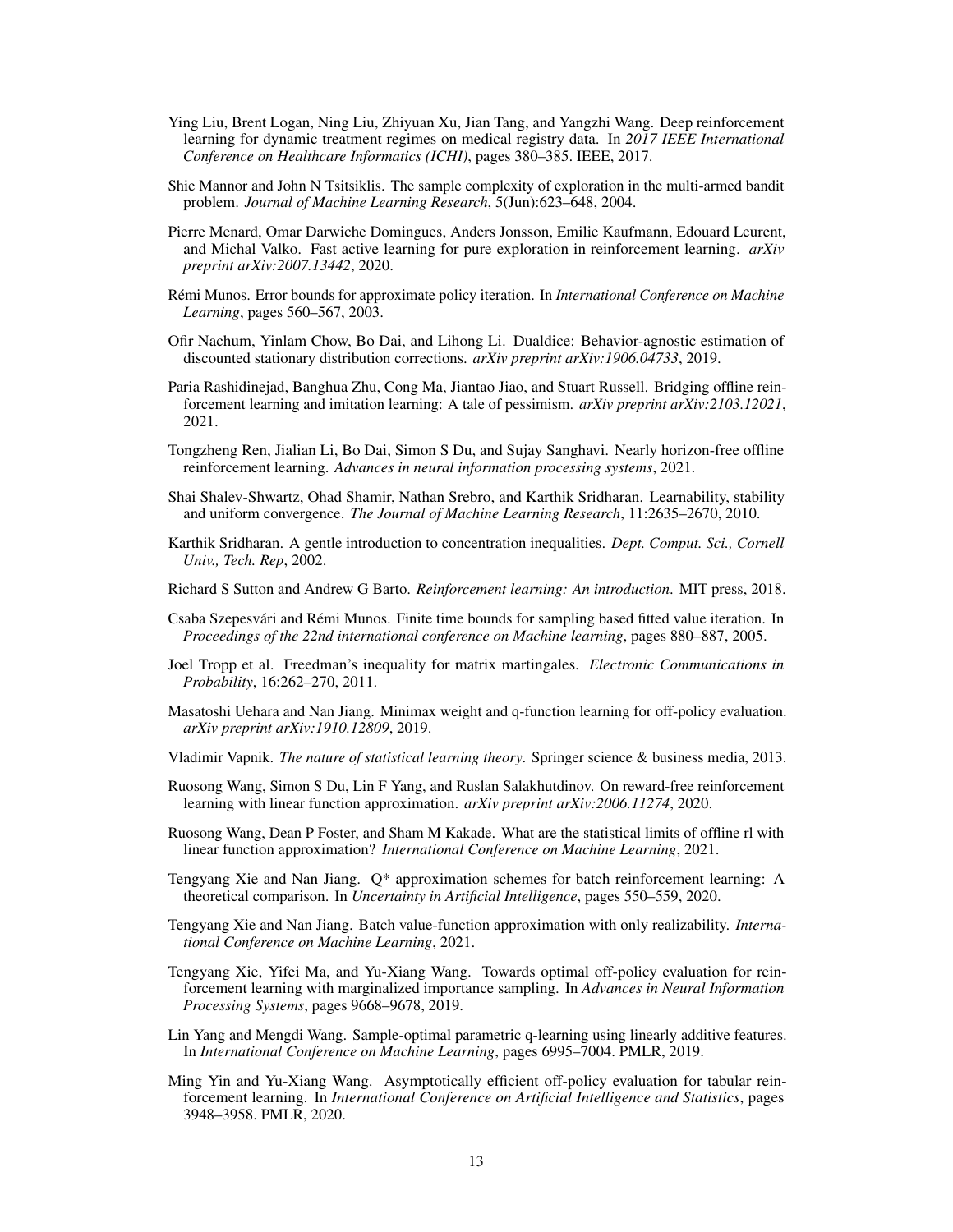- <span id="page-12-0"></span>Ying Liu, Brent Logan, Ning Liu, Zhiyuan Xu, Jian Tang, and Yangzhi Wang. Deep reinforcement learning for dynamic treatment regimes on medical registry data. In *2017 IEEE International Conference on Healthcare Informatics (ICHI)*, pages 380–385. IEEE, 2017.
- Shie Mannor and John N Tsitsiklis. The sample complexity of exploration in the multi-armed bandit problem. *Journal of Machine Learning Research*, 5(Jun):623–648, 2004.
- <span id="page-12-14"></span>Pierre Menard, Omar Darwiche Domingues, Anders Jonsson, Emilie Kaufmann, Edouard Leurent, and Michal Valko. Fast active learning for pure exploration in reinforcement learning. *arXiv preprint arXiv:2007.13442*, 2020.
- <span id="page-12-11"></span>Rémi Munos. Error bounds for approximate policy iteration. In *International Conference on Machine Learning*, pages 560–567, 2003.
- <span id="page-12-2"></span>Ofir Nachum, Yinlam Chow, Bo Dai, and Lihong Li. Dualdice: Behavior-agnostic estimation of discounted stationary distribution corrections. *arXiv preprint arXiv:1906.04733*, 2019.
- <span id="page-12-8"></span>Paria Rashidinejad, Banghua Zhu, Cong Ma, Jiantao Jiao, and Stuart Russell. Bridging offline reinforcement learning and imitation learning: A tale of pessimism. *arXiv preprint arXiv:2103.12021*, 2021.
- <span id="page-12-13"></span>Tongzheng Ren, Jialian Li, Bo Dai, Simon S Du, and Sujay Sanghavi. Nearly horizon-free offline reinforcement learning. *Advances in neural information processing systems*, 2021.
- <span id="page-12-10"></span>Shai Shalev-Shwartz, Ohad Shamir, Nathan Srebro, and Karthik Sridharan. Learnability, stability and uniform convergence. *The Journal of Machine Learning Research*, 11:2635–2670, 2010.
- Karthik Sridharan. A gentle introduction to concentration inequalities. *Dept. Comput. Sci., Cornell Univ., Tech. Rep*, 2002.
- <span id="page-12-15"></span>Richard S Sutton and Andrew G Barto. *Reinforcement learning: An introduction*. MIT press, 2018.
- <span id="page-12-12"></span>Csaba Szepesvári and Rémi Munos. Finite time bounds for sampling based fitted value iteration. In *Proceedings of the 22nd international conference on Machine learning*, pages 880–887, 2005.
- Joel Tropp et al. Freedman's inequality for matrix martingales. *Electronic Communications in Probability*, 16:262–270, 2011.
- <span id="page-12-1"></span>Masatoshi Uehara and Nan Jiang. Minimax weight and q-function learning for off-policy evaluation. *arXiv preprint arXiv:1910.12809*, 2019.
- <span id="page-12-9"></span>Vladimir Vapnik. *The nature of statistical learning theory*. Springer science & business media, 2013.
- Ruosong Wang, Simon S Du, Lin F Yang, and Ruslan Salakhutdinov. On reward-free reinforcement learning with linear function approximation. *arXiv preprint arXiv:2006.11274*, 2020.
- <span id="page-12-5"></span>Ruosong Wang, Dean P Foster, and Sham M Kakade. What are the statistical limits of offline rl with linear function approximation? *International Conference on Machine Learning*, 2021.
- <span id="page-12-7"></span>Tengyang Xie and Nan Jiang. Q\* approximation schemes for batch reinforcement learning: A theoretical comparison. In *Uncertainty in Artificial Intelligence*, pages 550–559, 2020.
- <span id="page-12-6"></span>Tengyang Xie and Nan Jiang. Batch value-function approximation with only realizability. *International Conference on Machine Learning*, 2021.
- <span id="page-12-3"></span>Tengyang Xie, Yifei Ma, and Yu-Xiang Wang. Towards optimal off-policy evaluation for reinforcement learning with marginalized importance sampling. In *Advances in Neural Information Processing Systems*, pages 9668–9678, 2019.
- <span id="page-12-16"></span>Lin Yang and Mengdi Wang. Sample-optimal parametric q-learning using linearly additive features. In *International Conference on Machine Learning*, pages 6995–7004. PMLR, 2019.
- <span id="page-12-4"></span>Ming Yin and Yu-Xiang Wang. Asymptotically efficient off-policy evaluation for tabular reinforcement learning. In *International Conference on Artificial Intelligence and Statistics*, pages 3948–3958. PMLR, 2020.